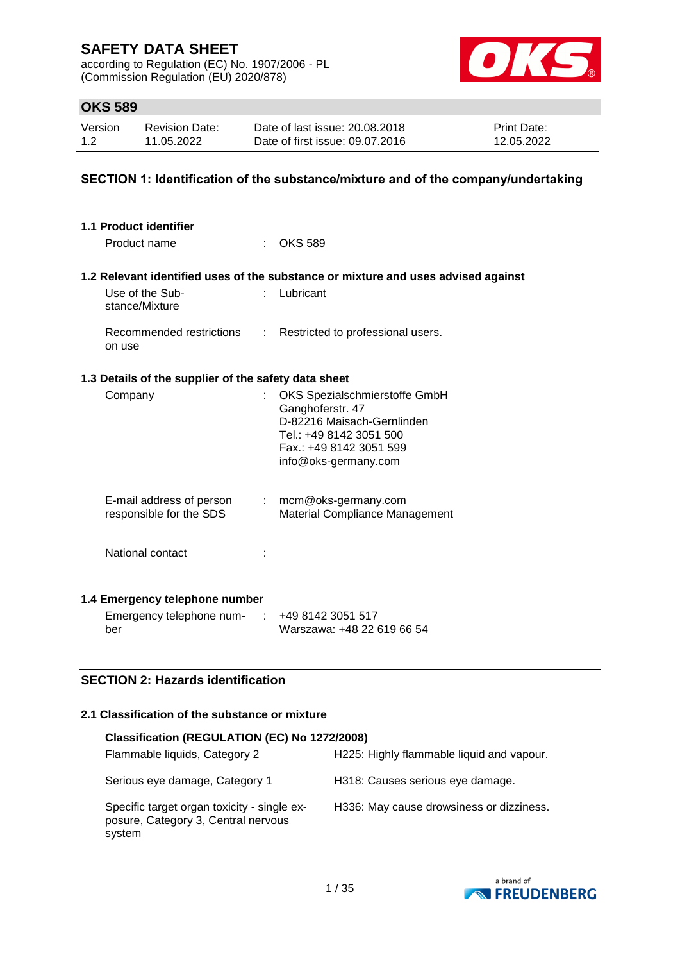according to Regulation (EC) No. 1907/2006 - PL (Commission Regulation (EU) 2020/878)



## **OKS 589**

| Version | <b>Revision Date:</b> | Date of last issue: 20.08.2018  | <b>Print Date:</b> |
|---------|-----------------------|---------------------------------|--------------------|
| 1.2     | 11.05.2022            | Date of first issue: 09.07.2016 | 12.05.2022         |

### **SECTION 1: Identification of the substance/mixture and of the company/undertaking**

| 1.1 Product identifier                               |                |                                                                                                                                                               |
|------------------------------------------------------|----------------|---------------------------------------------------------------------------------------------------------------------------------------------------------------|
| Product name                                         |                | <b>OKS 589</b>                                                                                                                                                |
|                                                      |                | 1.2 Relevant identified uses of the substance or mixture and uses advised against                                                                             |
| Use of the Sub-<br>stance/Mixture                    |                | Lubricant                                                                                                                                                     |
| Recommended restrictions<br>on use                   | $\mathbb{R}^n$ | Restricted to professional users.                                                                                                                             |
| 1.3 Details of the supplier of the safety data sheet |                |                                                                                                                                                               |
| Company                                              |                | OKS Spezialschmierstoffe GmbH<br>Ganghoferstr. 47<br>D-82216 Maisach-Gernlinden<br>Tel.: +49 8142 3051 500<br>Fax.: +49 8142 3051 599<br>info@oks-germany.com |
| E-mail address of person<br>responsible for the SDS  |                | $:$ mcm@oks-germany.com<br>Material Compliance Management                                                                                                     |
| National contact                                     |                |                                                                                                                                                               |
| 1.4 Emergency telephone number                       |                |                                                                                                                                                               |
| Emergency telephone num-<br>ber                      |                | +49 8142 3051 517<br>Warszawa: +48 22 619 66 54                                                                                                               |

#### **SECTION 2: Hazards identification**

#### **2.1 Classification of the substance or mixture**

| Classification (REGULATION (EC) No 1272/2008)                                                |                                           |
|----------------------------------------------------------------------------------------------|-------------------------------------------|
| Flammable liquids, Category 2                                                                | H225: Highly flammable liquid and vapour. |
| Serious eye damage, Category 1                                                               | H318: Causes serious eye damage.          |
| Specific target organ toxicity - single ex-<br>posure, Category 3, Central nervous<br>system | H336: May cause drowsiness or dizziness.  |

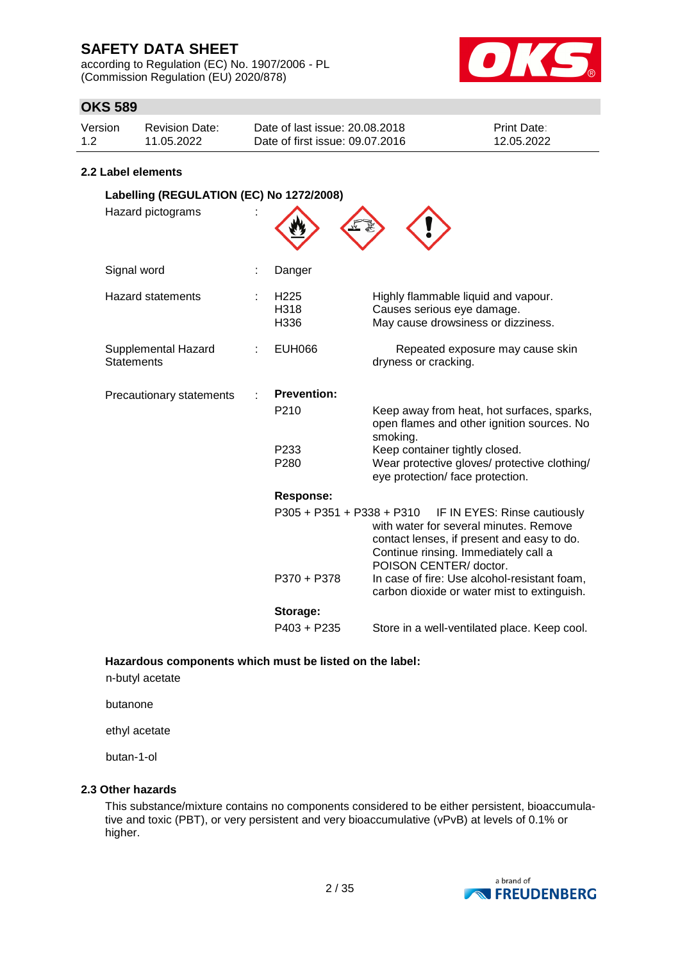according to Regulation (EC) No. 1907/2006 - PL (Commission Regulation (EU) 2020/878)



## **OKS 589**

| Version | Revision Date: | Date of last issue: 20.08.2018  | <b>Print Date:</b> |
|---------|----------------|---------------------------------|--------------------|
| 1.2     | 11.05.2022     | Date of first issue: 09.07.2016 | 12.05.2022         |

#### **2.2 Label elements**

| Labelling (REGULATION (EC) No 1272/2008) |                                  |                                                                                                                                                                                        |
|------------------------------------------|----------------------------------|----------------------------------------------------------------------------------------------------------------------------------------------------------------------------------------|
| Hazard pictograms                        |                                  |                                                                                                                                                                                        |
| Signal word                              | Danger                           |                                                                                                                                                                                        |
| <b>Hazard statements</b>                 | H <sub>225</sub><br>H318<br>H336 | Highly flammable liquid and vapour.<br>Causes serious eye damage.<br>May cause drowsiness or dizziness.                                                                                |
| Supplemental Hazard<br><b>Statements</b> | <b>EUH066</b>                    | Repeated exposure may cause skin<br>dryness or cracking.                                                                                                                               |
| Precautionary statements                 | <b>Prevention:</b>               |                                                                                                                                                                                        |
|                                          | P <sub>210</sub>                 | Keep away from heat, hot surfaces, sparks,<br>open flames and other ignition sources. No<br>smoking.                                                                                   |
|                                          | P233<br>P280                     | Keep container tightly closed.<br>Wear protective gloves/ protective clothing/<br>eye protection/ face protection.                                                                     |
|                                          | <b>Response:</b>                 |                                                                                                                                                                                        |
|                                          | P305 + P351 + P338 + P310        | IF IN EYES: Rinse cautiously<br>with water for several minutes. Remove<br>contact lenses, if present and easy to do.<br>Continue rinsing. Immediately call a<br>POISON CENTER/ doctor. |
|                                          | P370 + P378                      | In case of fire: Use alcohol-resistant foam,<br>carbon dioxide or water mist to extinguish.                                                                                            |
|                                          | Storage:                         |                                                                                                                                                                                        |
|                                          | P403 + P235                      | Store in a well-ventilated place. Keep cool.                                                                                                                                           |

**Hazardous components which must be listed on the label:**

n-butyl acetate

butanone

ethyl acetate

butan-1-ol

#### **2.3 Other hazards**

This substance/mixture contains no components considered to be either persistent, bioaccumulative and toxic (PBT), or very persistent and very bioaccumulative (vPvB) at levels of 0.1% or higher.

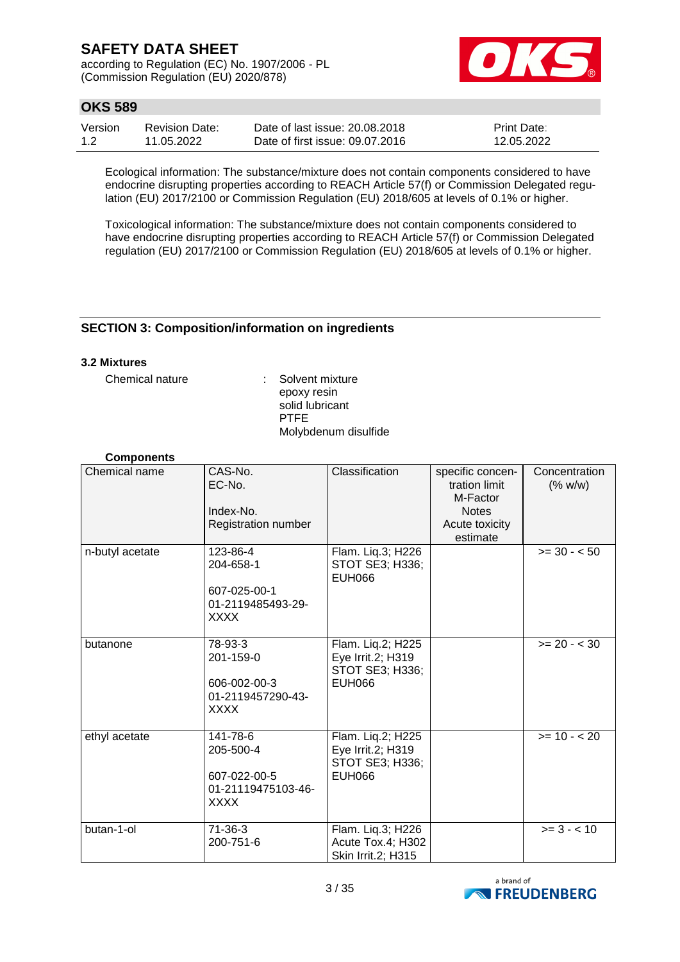according to Regulation (EC) No. 1907/2006 - PL (Commission Regulation (EU) 2020/878)



## **OKS 589**

| Version | Revision Date: | Date of last issue: 20.08.2018  | <b>Print Date:</b> |
|---------|----------------|---------------------------------|--------------------|
| 1.2     | 11.05.2022     | Date of first issue: 09.07.2016 | 12.05.2022         |

Ecological information: The substance/mixture does not contain components considered to have endocrine disrupting properties according to REACH Article 57(f) or Commission Delegated regulation (EU) 2017/2100 or Commission Regulation (EU) 2018/605 at levels of 0.1% or higher.

Toxicological information: The substance/mixture does not contain components considered to have endocrine disrupting properties according to REACH Article 57(f) or Commission Delegated regulation (EU) 2017/2100 or Commission Regulation (EU) 2018/605 at levels of 0.1% or higher.

### **SECTION 3: Composition/information on ingredients**

#### **3.2 Mixtures**

Chemical nature : Solvent mixture epoxy resin solid lubricant PTFE Molybdenum disulfide

#### **Components**

| Chemical name   | CAS-No.<br>EC-No.<br>Index-No.<br>Registration number                      | Classification                                                             | specific concen-<br>tration limit<br>M-Factor<br><b>Notes</b><br>Acute toxicity<br>estimate | Concentration<br>(% w/w) |
|-----------------|----------------------------------------------------------------------------|----------------------------------------------------------------------------|---------------------------------------------------------------------------------------------|--------------------------|
| n-butyl acetate | 123-86-4<br>204-658-1<br>607-025-00-1<br>01-2119485493-29-<br><b>XXXX</b>  | Flam. Liq.3; H226<br>STOT SE3; H336;<br><b>EUH066</b>                      |                                                                                             | $>= 30 - 50$             |
| butanone        | 78-93-3<br>201-159-0<br>606-002-00-3<br>01-2119457290-43-<br><b>XXXX</b>   | Flam. Liq.2; H225<br>Eye Irrit.2; H319<br>STOT SE3; H336;<br><b>EUH066</b> |                                                                                             | $>= 20 - < 30$           |
| ethyl acetate   | 141-78-6<br>205-500-4<br>607-022-00-5<br>01-21119475103-46-<br><b>XXXX</b> | Flam. Liq.2; H225<br>Eye Irrit.2; H319<br>STOT SE3; H336;<br><b>EUH066</b> |                                                                                             | $>= 10 - 20$             |
| butan-1-ol      | $71-36-3$<br>200-751-6                                                     | Flam. Liq.3; H226<br>Acute Tox.4; H302<br>Skin Irrit.2; H315               |                                                                                             | $>= 3 - < 10$            |

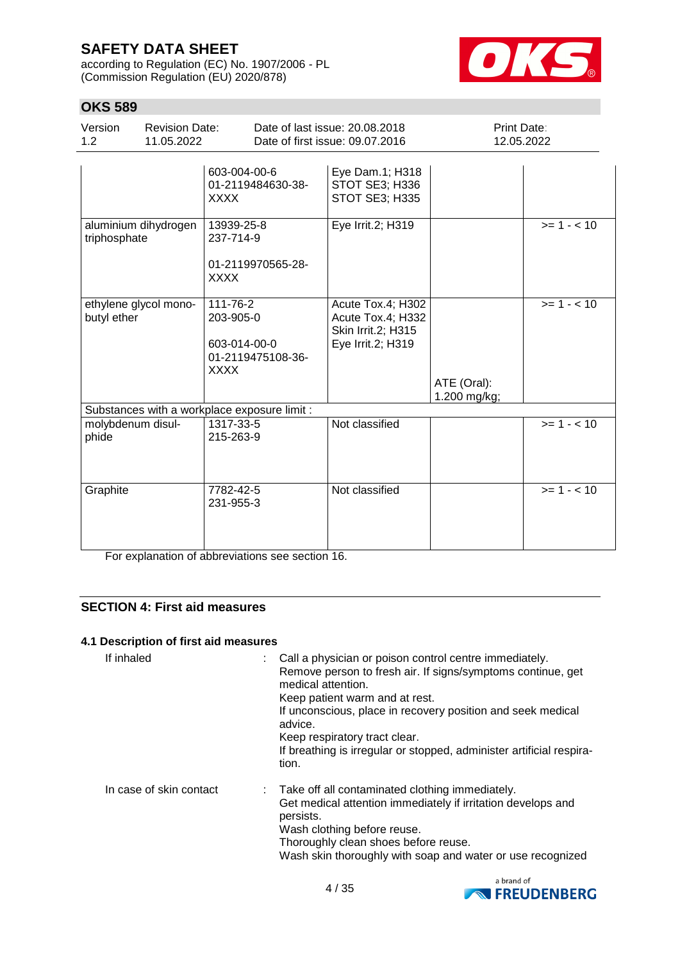according to Regulation (EC) No. 1907/2006 - PL (Commission Regulation (EU) 2020/878)



## **OKS 589**

| Version<br>1.2             | <b>Revision Date:</b><br>11.05.2022 |                                                                    | Date of last issue: 20.08.2018<br>Date of first issue: 09.07.2016                 | Print Date:<br>12.05.2022   |             |
|----------------------------|-------------------------------------|--------------------------------------------------------------------|-----------------------------------------------------------------------------------|-----------------------------|-------------|
|                            |                                     | 603-004-00-6<br>01-2119484630-38-<br><b>XXXX</b>                   | Eye Dam.1; H318<br>STOT SE3; H336<br>STOT SE3; H335                               |                             |             |
| triphosphate               | aluminium dihydrogen                | 13939-25-8<br>237-714-9<br>01-2119970565-28-<br><b>XXXX</b>        | Eye Irrit.2; H319                                                                 |                             | $>= 1 - 10$ |
| butyl ether                | ethylene glycol mono-               | 111-76-2<br>203-905-0<br>603-014-00-0<br>01-2119475108-36-<br>XXXX | Acute Tox.4; H302<br>Acute Tox.4; H332<br>Skin Irrit.2; H315<br>Eye Irrit.2; H319 | ATE (Oral):<br>1.200 mg/kg; | $>= 1 - 10$ |
|                            |                                     | Substances with a workplace exposure limit :                       |                                                                                   |                             |             |
| molybdenum disul-<br>phide |                                     | 1317-33-5<br>215-263-9                                             | Not classified                                                                    |                             | $>= 1 - 10$ |
| Graphite                   |                                     | 7782-42-5<br>231-955-3                                             | Not classified                                                                    |                             | $>= 1 - 10$ |

For explanation of abbreviations see section 16.

### **SECTION 4: First aid measures**

#### **4.1 Description of first aid measures**

| If inhaled              | : Call a physician or poison control centre immediately.<br>Remove person to fresh air. If signs/symptoms continue, get<br>medical attention.<br>Keep patient warm and at rest.<br>If unconscious, place in recovery position and seek medical<br>advice.<br>Keep respiratory tract clear.<br>If breathing is irregular or stopped, administer artificial respira-<br>tion. |  |
|-------------------------|-----------------------------------------------------------------------------------------------------------------------------------------------------------------------------------------------------------------------------------------------------------------------------------------------------------------------------------------------------------------------------|--|
| In case of skin contact | : Take off all contaminated clothing immediately.<br>Get medical attention immediately if irritation develops and<br>persists.<br>Wash clothing before reuse.<br>Thoroughly clean shoes before reuse.<br>Wash skin thoroughly with soap and water or use recognized                                                                                                         |  |

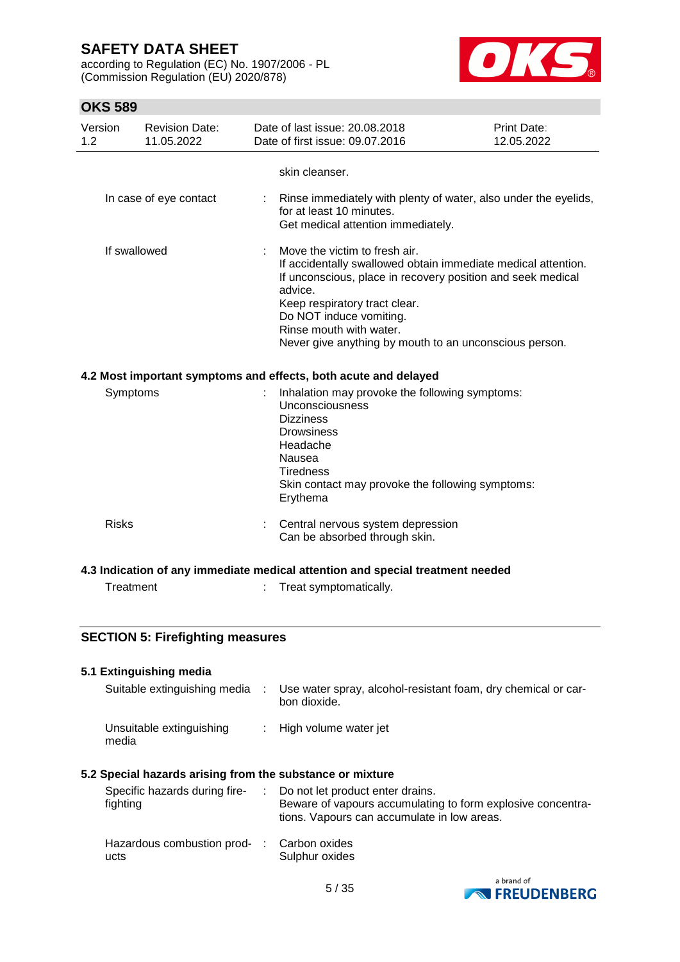according to Regulation (EC) No. 1907/2006 - PL (Commission Regulation (EU) 2020/878)



| 1.2 | Version      | <b>Revision Date:</b><br>11.05.2022     | Date of last issue: 20.08.2018<br>Date of first issue: 09.07.2016                                                                                                                                                                                                                                                         | <b>Print Date:</b><br>12.05.2022 |
|-----|--------------|-----------------------------------------|---------------------------------------------------------------------------------------------------------------------------------------------------------------------------------------------------------------------------------------------------------------------------------------------------------------------------|----------------------------------|
|     |              |                                         | skin cleanser.                                                                                                                                                                                                                                                                                                            |                                  |
|     |              | In case of eye contact                  | Rinse immediately with plenty of water, also under the eyelids,<br>for at least 10 minutes.<br>Get medical attention immediately.                                                                                                                                                                                         |                                  |
|     | If swallowed |                                         | Move the victim to fresh air.<br>If accidentally swallowed obtain immediate medical attention.<br>If unconscious, place in recovery position and seek medical<br>advice.<br>Keep respiratory tract clear.<br>Do NOT induce vomiting.<br>Rinse mouth with water.<br>Never give anything by mouth to an unconscious person. |                                  |
|     |              |                                         | 4.2 Most important symptoms and effects, both acute and delayed                                                                                                                                                                                                                                                           |                                  |
|     | Symptoms     |                                         | Inhalation may provoke the following symptoms:<br><b>Unconsciousness</b><br><b>Dizziness</b><br><b>Drowsiness</b><br>Headache<br>Nausea<br><b>Tiredness</b><br>Skin contact may provoke the following symptoms:<br>Erythema                                                                                               |                                  |
|     | <b>Risks</b> |                                         | Central nervous system depression<br>Can be absorbed through skin.                                                                                                                                                                                                                                                        |                                  |
|     |              |                                         | 4.3 Indication of any immediate medical attention and special treatment needed                                                                                                                                                                                                                                            |                                  |
|     | Treatment    |                                         | Treat symptomatically.                                                                                                                                                                                                                                                                                                    |                                  |
|     |              | <b>SECTION 5: Firefighting measures</b> |                                                                                                                                                                                                                                                                                                                           |                                  |
|     |              |                                         |                                                                                                                                                                                                                                                                                                                           |                                  |
|     |              | 5.1 Extinguishing media                 |                                                                                                                                                                                                                                                                                                                           |                                  |
|     |              | Suitable extinguishing media            | Use water spray, alcohol-resistant foam, dry chemical or car-<br>bon dioxide.                                                                                                                                                                                                                                             |                                  |
|     | media        | Unsuitable extinguishing                | High volume water jet                                                                                                                                                                                                                                                                                                     |                                  |
|     |              |                                         | 5.2 Special hazards arising from the substance or mixture                                                                                                                                                                                                                                                                 |                                  |
|     | fighting     | Specific hazards during fire-           | Do not let product enter drains.<br>Beware of vapours accumulating to form explosive concentra-<br>tions. Vapours can accumulate in low areas.                                                                                                                                                                            |                                  |
|     | ucts         | Hazardous combustion prod-              | Carbon oxides<br>Sulphur oxides                                                                                                                                                                                                                                                                                           |                                  |
|     |              |                                         |                                                                                                                                                                                                                                                                                                                           | a brand of                       |

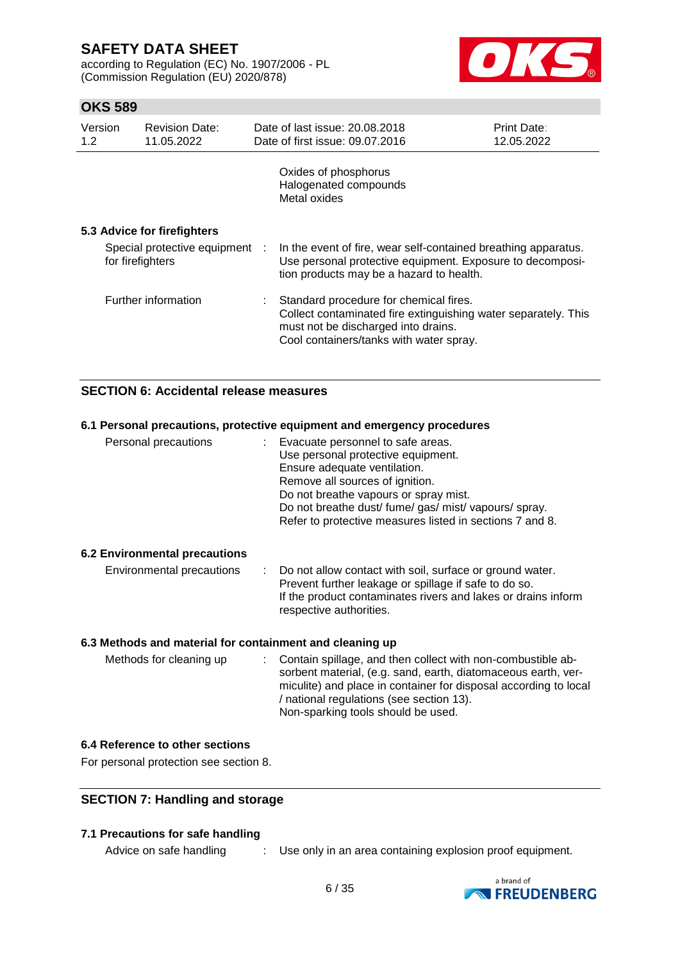according to Regulation (EC) No. 1907/2006 - PL (Commission Regulation (EU) 2020/878)



## **OKS 589**

| Version<br>1.2 | <b>Revision Date:</b><br>11.05.2022                | Date of last issue: 20.08.2018<br>Date of first issue: 09.07.2016                                                                                                                          | Print Date:<br>12.05.2022 |
|----------------|----------------------------------------------------|--------------------------------------------------------------------------------------------------------------------------------------------------------------------------------------------|---------------------------|
|                |                                                    | Oxides of phosphorus<br>Halogenated compounds<br>Metal oxides                                                                                                                              |                           |
|                | 5.3 Advice for firefighters                        |                                                                                                                                                                                            |                           |
|                | Special protective equipment :<br>for firefighters | In the event of fire, wear self-contained breathing apparatus.<br>Use personal protective equipment. Exposure to decomposi-<br>tion products may be a hazard to health.                    |                           |
|                | Further information                                | Standard procedure for chemical fires.<br>Collect contaminated fire extinguishing water separately. This<br>must not be discharged into drains.<br>Cool containers/tanks with water spray. |                           |

### **SECTION 6: Accidental release measures**

#### **6.1 Personal precautions, protective equipment and emergency procedures**

| Personal precautions | Evacuate personnel to safe areas.                        |
|----------------------|----------------------------------------------------------|
|                      | Use personal protective equipment.                       |
|                      | Ensure adequate ventilation.                             |
|                      | Remove all sources of ignition.                          |
|                      | Do not breathe vapours or spray mist.                    |
|                      | Do not breathe dust/fume/gas/mist/vapours/spray.         |
|                      | Refer to protective measures listed in sections 7 and 8. |
|                      |                                                          |

#### **6.2 Environmental precautions**

| Environmental precautions |  | : Do not allow contact with soil, surface or ground water.<br>Prevent further leakage or spillage if safe to do so.<br>If the product contaminates rivers and lakes or drains inform<br>respective authorities. |
|---------------------------|--|-----------------------------------------------------------------------------------------------------------------------------------------------------------------------------------------------------------------|
|---------------------------|--|-----------------------------------------------------------------------------------------------------------------------------------------------------------------------------------------------------------------|

#### **6.3 Methods and material for containment and cleaning up**

| Methods for cleaning up | : Contain spillage, and then collect with non-combustible ab-    |
|-------------------------|------------------------------------------------------------------|
|                         | sorbent material, (e.g. sand, earth, diatomaceous earth, ver-    |
|                         | miculite) and place in container for disposal according to local |
|                         | / national regulations (see section 13).                         |
|                         | Non-sparking tools should be used.                               |

#### **6.4 Reference to other sections**

For personal protection see section 8.

#### **SECTION 7: Handling and storage**

#### **7.1 Precautions for safe handling**

Advice on safe handling : Use only in an area containing explosion proof equipment.

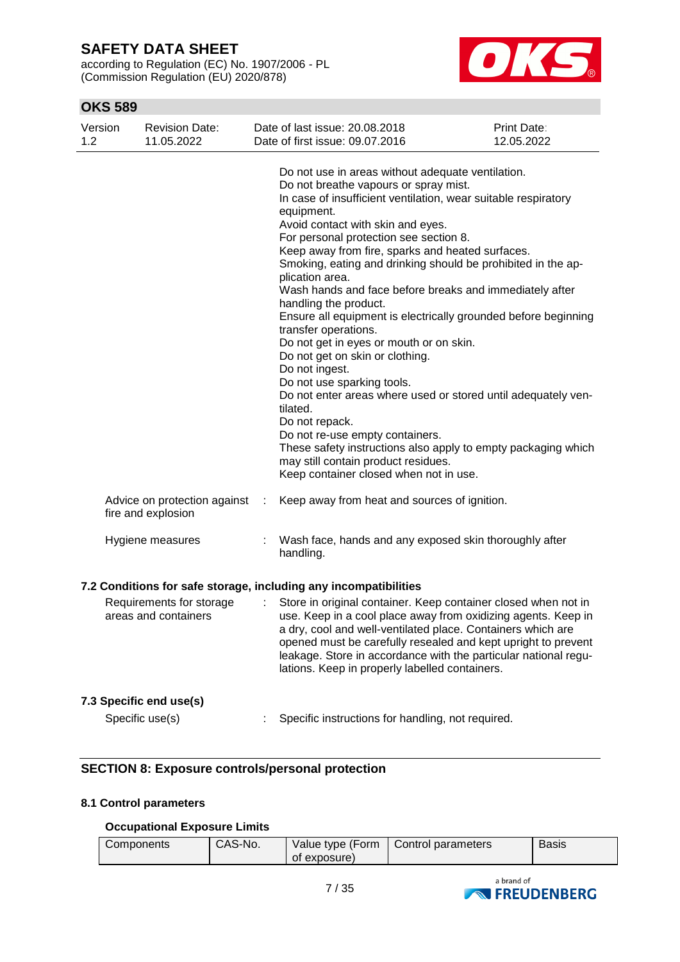according to Regulation (EC) No. 1907/2006 - PL (Commission Regulation (EU) 2020/878)



## **OKS 589**

| Version<br>1.2 | <b>Revision Date:</b><br>11.05.2022                |   | Date of last issue: 20.08.2018<br>Date of first issue: 09.07.2016                                                                                                                                                                                                                                                                                                                                                                                                                                                                                                                                                                                                                                                                                                                                                                                                                                                                                                                                | <b>Print Date:</b><br>12.05.2022 |
|----------------|----------------------------------------------------|---|--------------------------------------------------------------------------------------------------------------------------------------------------------------------------------------------------------------------------------------------------------------------------------------------------------------------------------------------------------------------------------------------------------------------------------------------------------------------------------------------------------------------------------------------------------------------------------------------------------------------------------------------------------------------------------------------------------------------------------------------------------------------------------------------------------------------------------------------------------------------------------------------------------------------------------------------------------------------------------------------------|----------------------------------|
|                |                                                    |   | Do not use in areas without adequate ventilation.<br>Do not breathe vapours or spray mist.<br>In case of insufficient ventilation, wear suitable respiratory<br>equipment.<br>Avoid contact with skin and eyes.<br>For personal protection see section 8.<br>Keep away from fire, sparks and heated surfaces.<br>Smoking, eating and drinking should be prohibited in the ap-<br>plication area.<br>Wash hands and face before breaks and immediately after<br>handling the product.<br>Ensure all equipment is electrically grounded before beginning<br>transfer operations.<br>Do not get in eyes or mouth or on skin.<br>Do not get on skin or clothing.<br>Do not ingest.<br>Do not use sparking tools.<br>Do not enter areas where used or stored until adequately ven-<br>tilated.<br>Do not repack.<br>Do not re-use empty containers.<br>These safety instructions also apply to empty packaging which<br>may still contain product residues.<br>Keep container closed when not in use. |                                  |
|                | Advice on protection against<br>fire and explosion | ÷ | Keep away from heat and sources of ignition.                                                                                                                                                                                                                                                                                                                                                                                                                                                                                                                                                                                                                                                                                                                                                                                                                                                                                                                                                     |                                  |
|                | Hygiene measures                                   |   | Wash face, hands and any exposed skin thoroughly after<br>handling.                                                                                                                                                                                                                                                                                                                                                                                                                                                                                                                                                                                                                                                                                                                                                                                                                                                                                                                              |                                  |
|                |                                                    |   | 7.2 Conditions for safe storage, including any incompatibilities                                                                                                                                                                                                                                                                                                                                                                                                                                                                                                                                                                                                                                                                                                                                                                                                                                                                                                                                 |                                  |
|                | Requirements for storage<br>areas and containers   | ÷ | Store in original container. Keep container closed when not in<br>use. Keep in a cool place away from oxidizing agents. Keep in<br>a dry, cool and well-ventilated place. Containers which are<br>opened must be carefully resealed and kept upright to prevent<br>leakage. Store in accordance with the particular national regu-<br>lations. Keep in properly labelled containers.                                                                                                                                                                                                                                                                                                                                                                                                                                                                                                                                                                                                             |                                  |
|                | 7.3 Specific end use(s)                            |   |                                                                                                                                                                                                                                                                                                                                                                                                                                                                                                                                                                                                                                                                                                                                                                                                                                                                                                                                                                                                  |                                  |
|                | Specific use(s)                                    |   | Specific instructions for handling, not required.                                                                                                                                                                                                                                                                                                                                                                                                                                                                                                                                                                                                                                                                                                                                                                                                                                                                                                                                                |                                  |

## **SECTION 8: Exposure controls/personal protection**

### **8.1 Control parameters**

### **Occupational Exposure Limits**

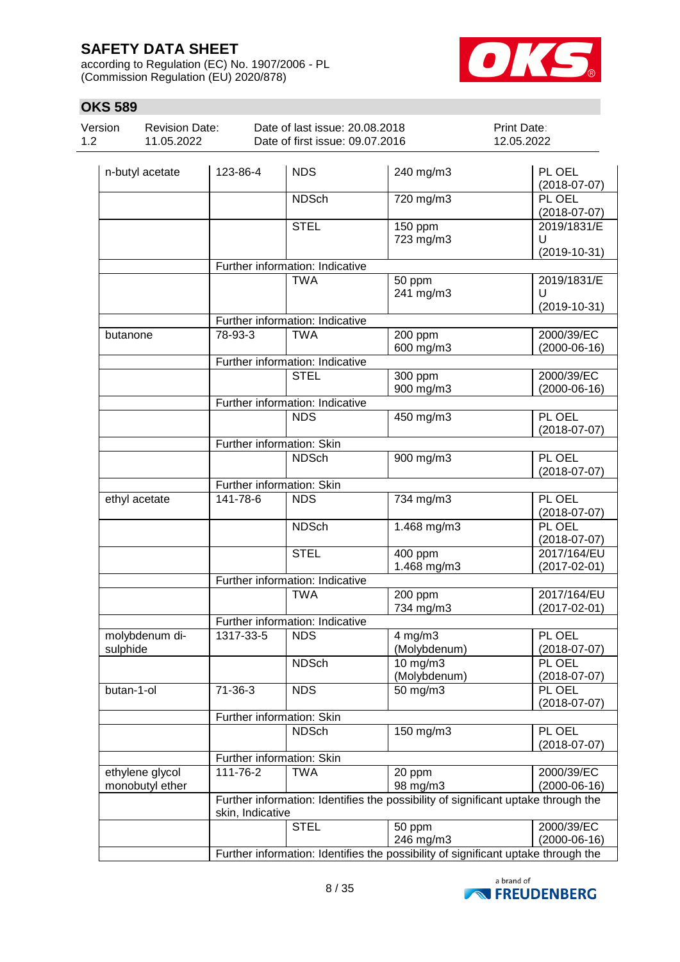according to Regulation (EC) No. 1907/2006 - PL (Commission Regulation (EU) 2020/878)



| UNJ J0J        |                                     |          |                                                                   |                      |                                    |
|----------------|-------------------------------------|----------|-------------------------------------------------------------------|----------------------|------------------------------------|
| Version<br>1.2 | <b>Revision Date:</b><br>11.05.2022 |          | Date of last issue: 20.08.2018<br>Date of first issue: 09.07.2016 |                      | Print Date:<br>12.05.2022          |
|                | n-butyl acetate                     | 123-86-4 | <b>NDS</b>                                                        | 240 mg/m3            | PL OEL<br>$(2018-07-07)$           |
|                |                                     |          | <b>NDSch</b>                                                      | 720 mg/m3            | PL OEL<br>$(2018-07-07)$           |
|                |                                     |          | <b>STEL</b>                                                       | 150 ppm<br>723 mg/m3 | 2019/1831/E<br>U<br>$(2019-10-31)$ |
|                |                                     |          | Further information: Indicative                                   |                      |                                    |
|                |                                     |          | <b>TWA</b>                                                        | 50 ppm<br>241 mg/m3  | 2019/1831/E<br>U<br>$(2019-10-31)$ |
|                |                                     |          | Further information: Indicative                                   |                      |                                    |
| butanone       |                                     | 78-93-3  | TWA                                                               | 200 ppm<br>600 mg/m3 | 2000/39/EC<br>$(2000-06-16)$       |
|                |                                     |          | Further information: Indicative                                   |                      |                                    |
|                |                                     |          | <b>STEL</b>                                                       | 300 ppm<br>900 mg/m3 | 2000/39/EC<br>$(2000-06-16)$       |
|                |                                     |          | Further information: Indicative                                   |                      |                                    |
|                |                                     |          | <b>NDS</b>                                                        | 450 mg/m3            | PL OEL<br>$(2018-07-07)$           |
|                |                                     |          | Further information: Skin                                         |                      |                                    |
|                |                                     |          | <b>NDSch</b>                                                      | 900 mg/m3            | PL OEL                             |

|                 |                  |                                 |                                                                                   | $(2018-07-07)$     |
|-----------------|------------------|---------------------------------|-----------------------------------------------------------------------------------|--------------------|
|                 |                  | Further information: Skin       |                                                                                   |                    |
|                 |                  | <b>NDSch</b>                    | 900 mg/m3                                                                         | PL OEL             |
|                 |                  |                                 |                                                                                   | $(2018-07-07)$     |
|                 |                  | Further information: Skin       |                                                                                   |                    |
| ethyl acetate   | 141-78-6         | <b>NDS</b>                      | 734 mg/m3                                                                         | PL OEL             |
|                 |                  |                                 |                                                                                   | $(2018-07-07)$     |
|                 |                  | <b>NDSch</b>                    | 1.468 mg/m3                                                                       | PL OEL             |
|                 |                  |                                 |                                                                                   | $(2018-07-07)$     |
|                 |                  | <b>STEL</b>                     | 400 ppm                                                                           | 2017/164/EU        |
|                 |                  |                                 | 1.468 mg/m3                                                                       | $(2017 - 02 - 01)$ |
|                 |                  | Further information: Indicative |                                                                                   |                    |
|                 |                  | <b>TWA</b>                      | 200 ppm                                                                           | 2017/164/EU        |
|                 |                  |                                 | 734 mg/m3                                                                         | $(2017 - 02 - 01)$ |
|                 |                  | Further information: Indicative |                                                                                   |                    |
| molybdenum di-  | 1317-33-5        | <b>NDS</b>                      | $4$ mg/m $3$                                                                      | PL OEL             |
| sulphide        |                  |                                 | (Molybdenum)                                                                      | $(2018-07-07)$     |
|                 |                  | <b>NDSch</b>                    | $\overline{10}$ mg/m3                                                             | PL OEL             |
|                 |                  |                                 | (Molybdenum)                                                                      | $(2018-07-07)$     |
| butan-1-ol      | $71-36-3$        | <b>NDS</b>                      | 50 mg/m3                                                                          | PL OEL             |
|                 |                  |                                 |                                                                                   | $(2018-07-07)$     |
|                 |                  | Further information: Skin       |                                                                                   |                    |
|                 |                  | <b>NDSch</b>                    | 150 mg/m3                                                                         | PL OEL             |
|                 |                  |                                 |                                                                                   | $(2018-07-07)$     |
|                 |                  | Further information: Skin       |                                                                                   |                    |
| ethylene glycol | 111-76-2         | <b>TWA</b>                      | 20 ppm                                                                            | 2000/39/EC         |
| monobutyl ether |                  |                                 | 98 mg/m3                                                                          | $(2000-06-16)$     |
|                 |                  |                                 | Further information: Identifies the possibility of significant uptake through the |                    |
|                 | skin, Indicative |                                 |                                                                                   |                    |
|                 |                  | <b>STEL</b>                     | 50 ppm                                                                            | 2000/39/EC         |
|                 |                  |                                 | 246 mg/m3                                                                         | $(2000-06-16)$     |
|                 |                  |                                 | Further information: Identifies the possibility of significant uptake through the |                    |

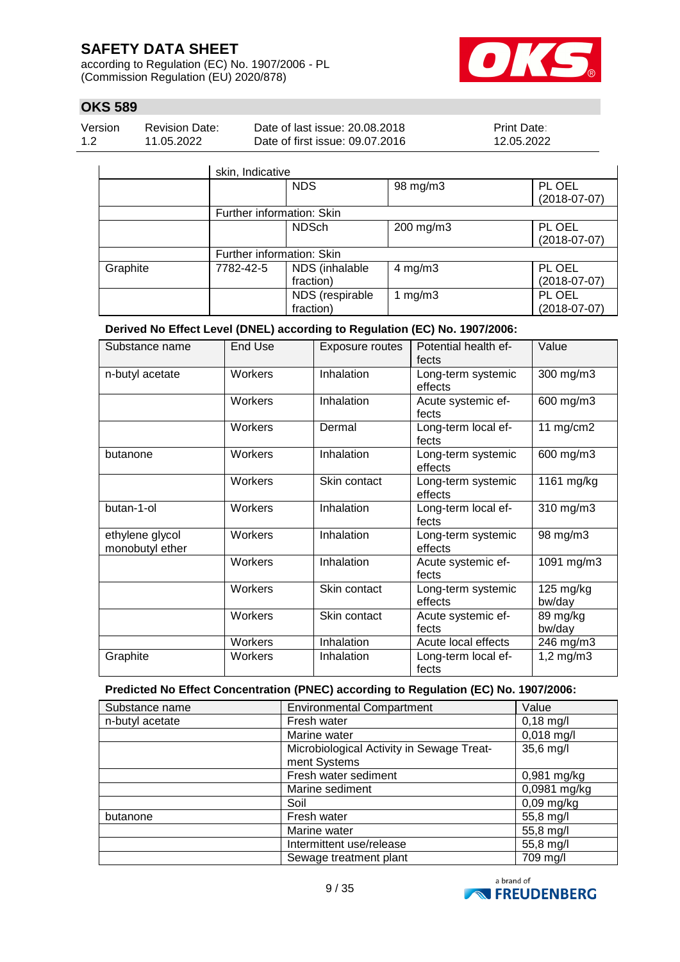according to Regulation (EC) No. 1907/2006 - PL (Commission Regulation (EU) 2020/878)



## **OKS 589**

| Version | <b>Revision Date:</b> | Date of last issue: 20.08.2018  | Print Date∶ |
|---------|-----------------------|---------------------------------|-------------|
| 1.2     | 11.05.2022            | Date of first issue: 09.07.2016 | 12.05.2022  |

|          | skin, Indicative          |                              |              |                          |
|----------|---------------------------|------------------------------|--------------|--------------------------|
|          |                           | <b>NDS</b>                   | 98 mg/m3     | PL OEL<br>$(2018-07-07)$ |
|          | Further information: Skin |                              |              |                          |
|          |                           | <b>NDSch</b>                 | 200 mg/m3    | PL OEL<br>$(2018-07-07)$ |
|          | Further information: Skin |                              |              |                          |
| Graphite | 7782-42-5                 | NDS (inhalable<br>fraction)  | $4$ mg/m $3$ | PL OEL<br>$(2018-07-07)$ |
|          |                           | NDS (respirable<br>fraction) | 1 $mg/m3$    | PL OEL<br>$(2018-07-07)$ |

### **Derived No Effect Level (DNEL) according to Regulation (EC) No. 1907/2006:**

| Substance name                     | End Use | <b>Exposure routes</b> | Potential health ef-<br>fects | Value               |
|------------------------------------|---------|------------------------|-------------------------------|---------------------|
| n-butyl acetate                    | Workers | Inhalation             | Long-term systemic<br>effects | 300 mg/m3           |
|                                    | Workers | Inhalation             | Acute systemic ef-<br>fects   | 600 mg/m3           |
|                                    | Workers | Dermal                 | Long-term local ef-<br>fects  | 11 $mg/cm2$         |
| butanone                           | Workers | Inhalation             | Long-term systemic<br>effects | 600 mg/m3           |
|                                    | Workers | Skin contact           | Long-term systemic<br>effects | 1161 mg/kg          |
| butan-1-ol                         | Workers | Inhalation             | Long-term local ef-<br>fects  | 310 mg/m3           |
| ethylene glycol<br>monobutyl ether | Workers | Inhalation             | Long-term systemic<br>effects | 98 mg/m3            |
|                                    | Workers | Inhalation             | Acute systemic ef-<br>fects   | 1091 mg/m3          |
|                                    | Workers | Skin contact           | Long-term systemic<br>effects | 125 mg/kg<br>bw/day |
|                                    | Workers | Skin contact           | Acute systemic ef-<br>fects   | 89 mg/kg<br>bw/day  |
|                                    | Workers | Inhalation             | Acute local effects           | 246 mg/m3           |
| Graphite                           | Workers | Inhalation             | Long-term local ef-<br>fects  | $1,2$ mg/m $3$      |

### **Predicted No Effect Concentration (PNEC) according to Regulation (EC) No. 1907/2006:**

| Substance name  | <b>Environmental Compartment</b><br>Value              |              |  |
|-----------------|--------------------------------------------------------|--------------|--|
| n-butyl acetate | Fresh water                                            | $0,18$ mg/l  |  |
|                 | Marine water                                           | $0,018$ mg/l |  |
|                 | Microbiological Activity in Sewage Treat-<br>35,6 mg/l |              |  |
|                 | ment Systems                                           |              |  |
|                 | Fresh water sediment                                   | 0,981 mg/kg  |  |
|                 | Marine sediment                                        | 0,0981 mg/kg |  |
|                 | Soil                                                   | $0,09$ mg/kg |  |
| butanone        | Fresh water                                            | 55,8 mg/l    |  |
|                 | Marine water                                           | 55,8 mg/l    |  |
|                 | Intermittent use/release                               | 55,8 mg/l    |  |
|                 | Sewage treatment plant                                 | 709 mg/l     |  |

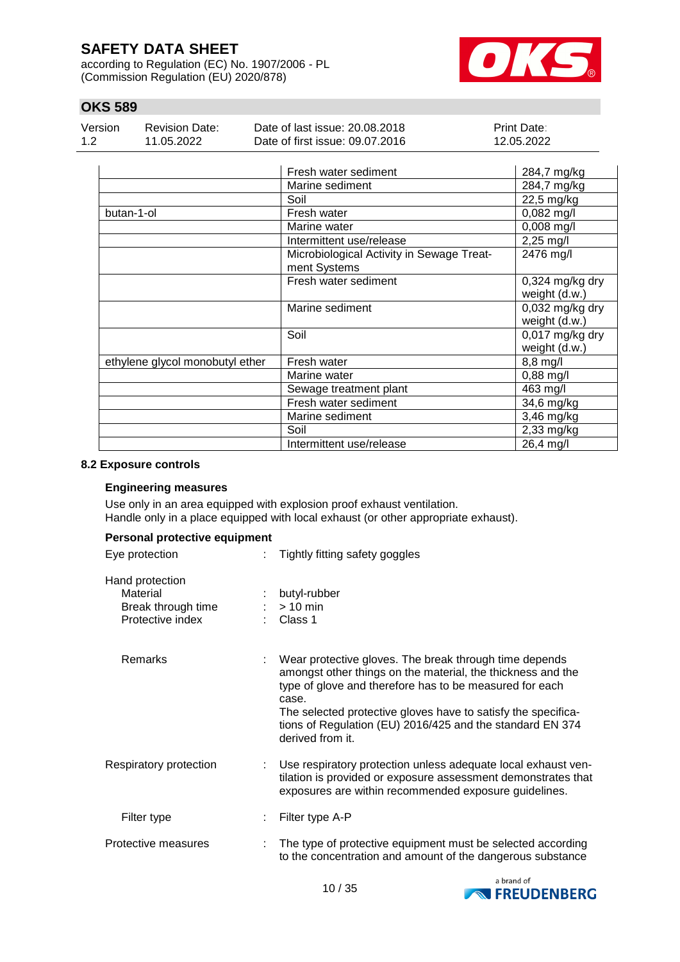according to Regulation (EC) No. 1907/2006 - PL (Commission Regulation (EU) 2020/878)



## **OKS 589**

| Version | <b>Revision Date:</b> | Date of last issue: 20.08.2018  | <b>Print Date:</b> |
|---------|-----------------------|---------------------------------|--------------------|
| 1.2     | 11.05.2022            | Date of first issue: 09.07.2016 | 12.05.2022         |

|                                 | Fresh water sediment                                      | 284,7 mg/kg                        |
|---------------------------------|-----------------------------------------------------------|------------------------------------|
|                                 | Marine sediment                                           | 284,7 mg/kg                        |
|                                 | Soil                                                      | 22,5 mg/kg                         |
| butan-1-ol                      | Fresh water                                               | $0,082$ mg/l                       |
|                                 | Marine water                                              | $0,008$ mg/l                       |
|                                 | Intermittent use/release                                  | $2,25 \, \text{mg}/\text{l}$       |
|                                 | Microbiological Activity in Sewage Treat-<br>ment Systems | 2476 mg/l                          |
|                                 | Fresh water sediment                                      | $0,324$ mg/kg dry<br>weight (d.w.) |
|                                 | Marine sediment                                           | $0,032$ mg/kg dry<br>weight (d.w.) |
|                                 | Soil                                                      | $0,017$ mg/kg dry<br>weight (d.w.) |
| ethylene glycol monobutyl ether | Fresh water                                               | $8,8$ mg/l                         |
|                                 | Marine water                                              | 0,88 mg/l                          |
|                                 | Sewage treatment plant                                    | 463 mg/l                           |
|                                 | Fresh water sediment                                      | 34,6 mg/kg                         |
|                                 | Marine sediment                                           | 3,46 mg/kg                         |
|                                 | Soil                                                      | 2,33 mg/kg                         |
|                                 | Intermittent use/release                                  | 26,4 mg/l                          |

#### **8.2 Exposure controls**

#### **Engineering measures**

Use only in an area equipped with explosion proof exhaust ventilation. Handle only in a place equipped with local exhaust (or other appropriate exhaust).

#### **Personal protective equipment**

| Eye protection                                                        | Tightly fitting safety goggles                                                                                                                                                                                                                                                                                                              |
|-----------------------------------------------------------------------|---------------------------------------------------------------------------------------------------------------------------------------------------------------------------------------------------------------------------------------------------------------------------------------------------------------------------------------------|
| Hand protection<br>Material<br>Break through time<br>Protective index | butyl-rubber<br>$> 10$ min<br>Class 1                                                                                                                                                                                                                                                                                                       |
| <b>Remarks</b>                                                        | Wear protective gloves. The break through time depends<br>amongst other things on the material, the thickness and the<br>type of glove and therefore has to be measured for each<br>case.<br>The selected protective gloves have to satisfy the specifica-<br>tions of Regulation (EU) 2016/425 and the standard EN 374<br>derived from it. |
| Respiratory protection                                                | Use respiratory protection unless adequate local exhaust ven-<br>tilation is provided or exposure assessment demonstrates that<br>exposures are within recommended exposure guidelines.                                                                                                                                                     |
| Filter type                                                           | Filter type A-P                                                                                                                                                                                                                                                                                                                             |
| Protective measures                                                   | The type of protective equipment must be selected according<br>to the concentration and amount of the dangerous substance                                                                                                                                                                                                                   |

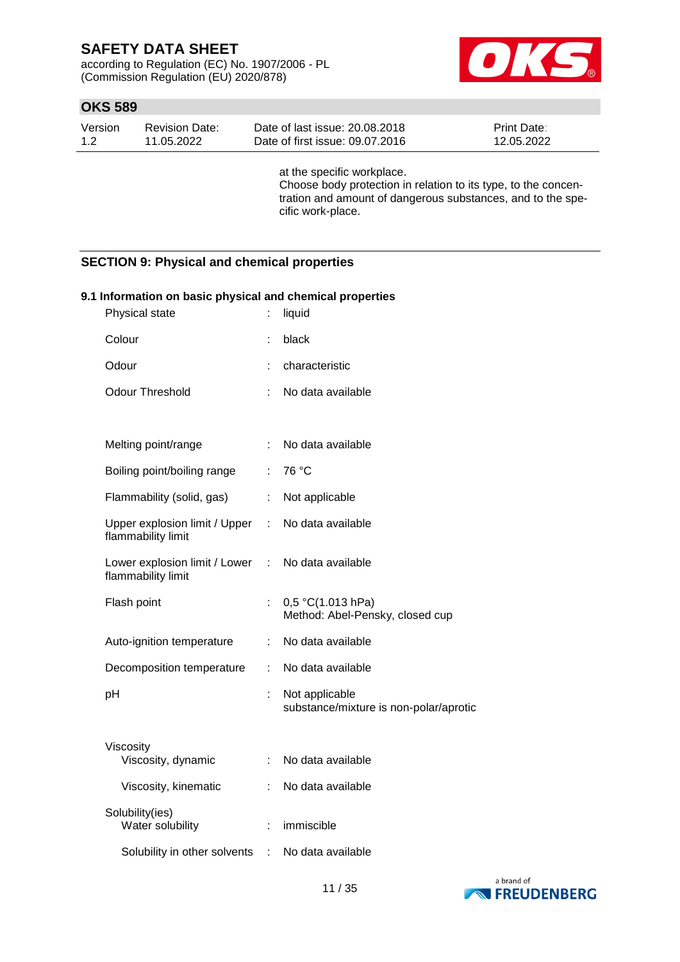according to Regulation (EC) No. 1907/2006 - PL (Commission Regulation (EU) 2020/878)



## **OKS 589**

| Version | Revision Date: | Date of last issue: 20.08.2018  | <b>Print Date:</b> |
|---------|----------------|---------------------------------|--------------------|
| 1.2     | 11.05.2022     | Date of first issue: 09.07.2016 | 12.05.2022         |

at the specific workplace. Choose body protection in relation to its type, to the concentration and amount of dangerous substances, and to the specific work-place.

### **SECTION 9: Physical and chemical properties**

| 9.1 Information on basic physical and chemical properties |    |                                                          |  |  |  |  |
|-----------------------------------------------------------|----|----------------------------------------------------------|--|--|--|--|
| Physical state                                            |    | liquid                                                   |  |  |  |  |
| Colour                                                    |    | black                                                    |  |  |  |  |
| Odour                                                     |    | characteristic                                           |  |  |  |  |
| <b>Odour Threshold</b>                                    | ÷. | No data available                                        |  |  |  |  |
|                                                           |    |                                                          |  |  |  |  |
| Melting point/range                                       | ÷  | No data available                                        |  |  |  |  |
| Boiling point/boiling range                               | ÷  | 76 °C                                                    |  |  |  |  |
| Flammability (solid, gas)                                 | ÷  | Not applicable                                           |  |  |  |  |
| Upper explosion limit / Upper<br>flammability limit       | ÷  | No data available                                        |  |  |  |  |
| Lower explosion limit / Lower<br>flammability limit       | ÷  | No data available                                        |  |  |  |  |
| Flash point                                               |    | 0,5 °C(1.013 hPa)<br>Method: Abel-Pensky, closed cup     |  |  |  |  |
| Auto-ignition temperature                                 | ÷  | No data available                                        |  |  |  |  |
| Decomposition temperature                                 | ÷. | No data available                                        |  |  |  |  |
| pH                                                        | t  | Not applicable<br>substance/mixture is non-polar/aprotic |  |  |  |  |
| Viscosity<br>Viscosity, dynamic                           | ÷. | No data available                                        |  |  |  |  |
| Viscosity, kinematic                                      |    | No data available                                        |  |  |  |  |
| Solubility(ies)<br>Water solubility                       | ÷  | immiscible                                               |  |  |  |  |
| Solubility in other solvents                              | ÷  | No data available                                        |  |  |  |  |

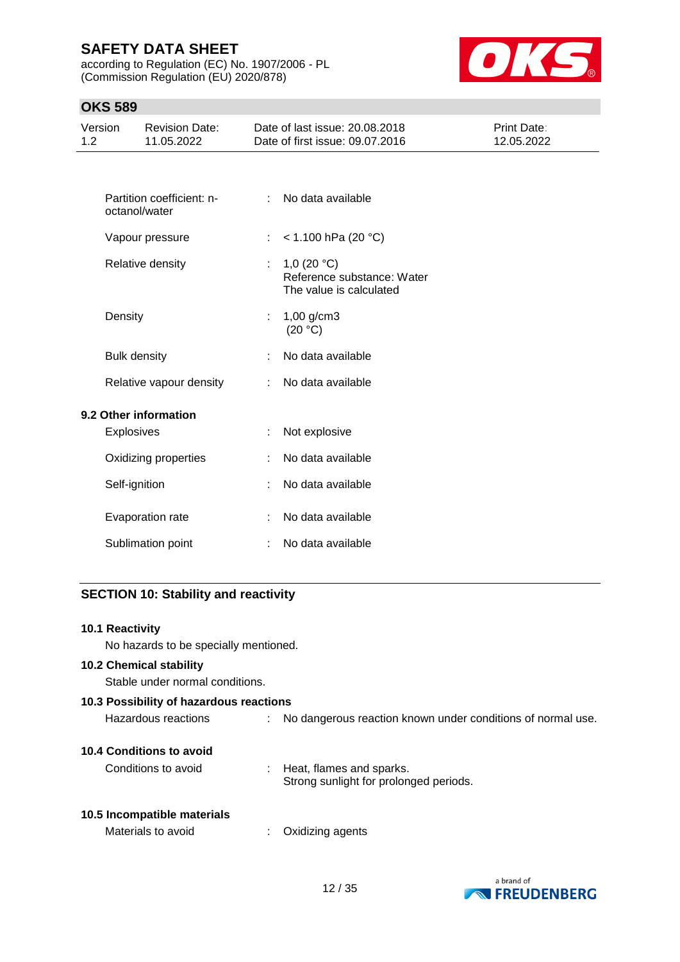according to Regulation (EC) No. 1907/2006 - PL (Commission Regulation (EU) 2020/878)



## **OKS 589**

| Version<br>1.2 | <b>Revision Date:</b><br>11.05.2022        |   | Date of last issue: 20.08.2018<br>Date of first issue: 09.07.2016      | Print Date:<br>12.05.2022 |
|----------------|--------------------------------------------|---|------------------------------------------------------------------------|---------------------------|
|                |                                            |   |                                                                        |                           |
|                | Partition coefficient: n-<br>octanol/water |   | No data available                                                      |                           |
|                | Vapour pressure                            |   | $<$ 1.100 hPa (20 °C)                                                  |                           |
|                | Relative density                           |   | 1,0 $(20 °C)$<br>Reference substance: Water<br>The value is calculated |                           |
|                | Density                                    |   | 1,00 g/cm3<br>(20 °C)                                                  |                           |
|                | <b>Bulk density</b>                        |   | No data available                                                      |                           |
|                | Relative vapour density                    | ÷ | No data available                                                      |                           |
|                | 9.2 Other information                      |   |                                                                        |                           |
|                | <b>Explosives</b>                          |   | Not explosive                                                          |                           |
|                | Oxidizing properties                       |   | No data available                                                      |                           |
|                | Self-ignition                              |   | No data available                                                      |                           |
|                | Evaporation rate                           |   | No data available                                                      |                           |
|                | Sublimation point                          |   | No data available                                                      |                           |
|                |                                            |   |                                                                        |                           |

## **SECTION 10: Stability and reactivity**

| 10.1 Reactivity                         |                                                                      |
|-----------------------------------------|----------------------------------------------------------------------|
| No hazards to be specially mentioned.   |                                                                      |
| <b>10.2 Chemical stability</b>          |                                                                      |
| Stable under normal conditions.         |                                                                      |
| 10.3 Possibility of hazardous reactions |                                                                      |
| Hazardous reactions                     | : No dangerous reaction known under conditions of normal use.        |
| 10.4 Conditions to avoid                |                                                                      |
| Conditions to avoid                     | : Heat, flames and sparks.<br>Strong sunlight for prolonged periods. |
| 10.5 Incompatible materials             |                                                                      |
| Materials to avoid<br>÷                 | Oxidizing agents                                                     |
|                                         |                                                                      |

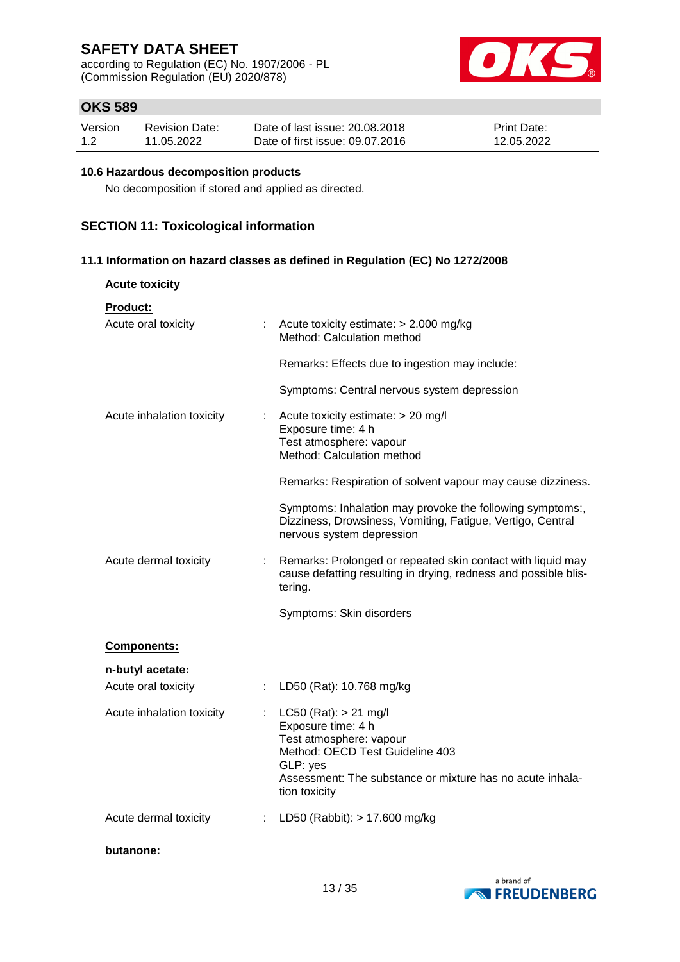according to Regulation (EC) No. 1907/2006 - PL (Commission Regulation (EU) 2020/878)



## **OKS 589**

| Version | <b>Revision Date:</b> | Date of last issue: 20.08.2018  | <b>Print Date:</b> |
|---------|-----------------------|---------------------------------|--------------------|
| 1.2     | 11.05.2022            | Date of first issue: 09.07.2016 | 12.05.2022         |

#### **10.6 Hazardous decomposition products**

No decomposition if stored and applied as directed.

### **SECTION 11: Toxicological information**

**11.1 Information on hazard classes as defined in Regulation (EC) No 1272/2008**

| <b>Acute toxicity</b>                  |    |                                                                                                                                                                                                         |
|----------------------------------------|----|---------------------------------------------------------------------------------------------------------------------------------------------------------------------------------------------------------|
| <b>Product:</b><br>Acute oral toxicity |    | : Acute toxicity estimate: $> 2.000$ mg/kg<br>Method: Calculation method                                                                                                                                |
|                                        |    | Remarks: Effects due to ingestion may include:                                                                                                                                                          |
|                                        |    | Symptoms: Central nervous system depression                                                                                                                                                             |
| Acute inhalation toxicity              | t. | Acute toxicity estimate: > 20 mg/l<br>Exposure time: 4 h<br>Test atmosphere: vapour<br>Method: Calculation method                                                                                       |
|                                        |    | Remarks: Respiration of solvent vapour may cause dizziness.                                                                                                                                             |
|                                        |    | Symptoms: Inhalation may provoke the following symptoms:,<br>Dizziness, Drowsiness, Vomiting, Fatigue, Vertigo, Central<br>nervous system depression                                                    |
| Acute dermal toxicity                  |    | Remarks: Prolonged or repeated skin contact with liquid may<br>cause defatting resulting in drying, redness and possible blis-<br>tering.                                                               |
|                                        |    | Symptoms: Skin disorders                                                                                                                                                                                |
| Components:                            |    |                                                                                                                                                                                                         |
| n-butyl acetate:                       |    |                                                                                                                                                                                                         |
| Acute oral toxicity                    | t. | LD50 (Rat): 10.768 mg/kg                                                                                                                                                                                |
| Acute inhalation toxicity              |    | : LC50 (Rat): $> 21$ mg/l<br>Exposure time: 4 h<br>Test atmosphere: vapour<br>Method: OECD Test Guideline 403<br>GLP: yes<br>Assessment: The substance or mixture has no acute inhala-<br>tion toxicity |
| Acute dermal toxicity                  |    | LD50 (Rabbit): > 17.600 mg/kg                                                                                                                                                                           |

**butanone:**

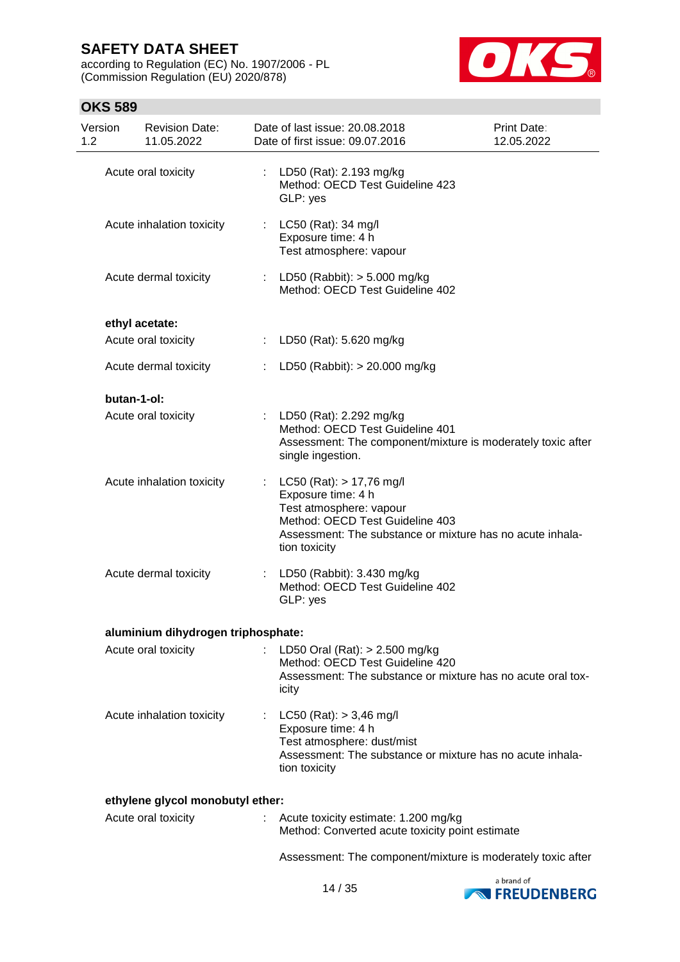according to Regulation (EC) No. 1907/2006 - PL (Commission Regulation (EU) 2020/878)



## **OKS 589**

| Version<br>1.2 | <b>Revision Date:</b><br>11.05.2022 |    | Date of last issue: 20.08.2018<br>Date of first issue: 09.07.2016                                                                                                                              | Print Date:<br>12.05.2022 |
|----------------|-------------------------------------|----|------------------------------------------------------------------------------------------------------------------------------------------------------------------------------------------------|---------------------------|
|                | Acute oral toxicity                 | ÷. | LD50 (Rat): 2.193 mg/kg<br>Method: OECD Test Guideline 423<br>GLP: yes                                                                                                                         |                           |
|                | Acute inhalation toxicity           |    | : LC50 (Rat): 34 mg/l<br>Exposure time: 4 h<br>Test atmosphere: vapour                                                                                                                         |                           |
|                | Acute dermal toxicity               |    | LD50 (Rabbit): > 5.000 mg/kg<br>Method: OECD Test Guideline 402                                                                                                                                |                           |
|                | ethyl acetate:                      |    |                                                                                                                                                                                                |                           |
|                | Acute oral toxicity                 | ÷. | LD50 (Rat): 5.620 mg/kg                                                                                                                                                                        |                           |
|                | Acute dermal toxicity               | t. | LD50 (Rabbit): > 20.000 mg/kg                                                                                                                                                                  |                           |
| butan-1-ol:    |                                     |    |                                                                                                                                                                                                |                           |
|                | Acute oral toxicity                 |    | : LD50 (Rat): 2.292 mg/kg<br>Method: OECD Test Guideline 401<br>Assessment: The component/mixture is moderately toxic after<br>single ingestion.                                               |                           |
|                | Acute inhalation toxicity           |    | $LC50$ (Rat): $> 17,76$ mg/l<br>Exposure time: 4 h<br>Test atmosphere: vapour<br>Method: OECD Test Guideline 403<br>Assessment: The substance or mixture has no acute inhala-<br>tion toxicity |                           |
|                | Acute dermal toxicity               |    | LD50 (Rabbit): 3.430 mg/kg<br>Method: OECD Test Guideline 402<br>GLP: yes                                                                                                                      |                           |
|                | aluminium dihydrogen triphosphate:  |    |                                                                                                                                                                                                |                           |
|                | Acute oral toxicity                 |    | LD50 Oral (Rat): $> 2.500$ mg/kg<br>Method: OECD Test Guideline 420<br>Assessment: The substance or mixture has no acute oral tox-<br>icity                                                    |                           |
|                | Acute inhalation toxicity           | ÷  | $LC50$ (Rat): $> 3,46$ mg/l<br>Exposure time: 4 h<br>Test atmosphere: dust/mist<br>Assessment: The substance or mixture has no acute inhala-<br>tion toxicity                                  |                           |
|                | ethylene glycol monobutyl ether:    |    |                                                                                                                                                                                                |                           |
|                | Acute oral toxicity                 |    | Acute toxicity estimate: 1.200 mg/kg<br>Method: Converted acute toxicity point estimate                                                                                                        |                           |

Assessment: The component/mixture is moderately toxic after

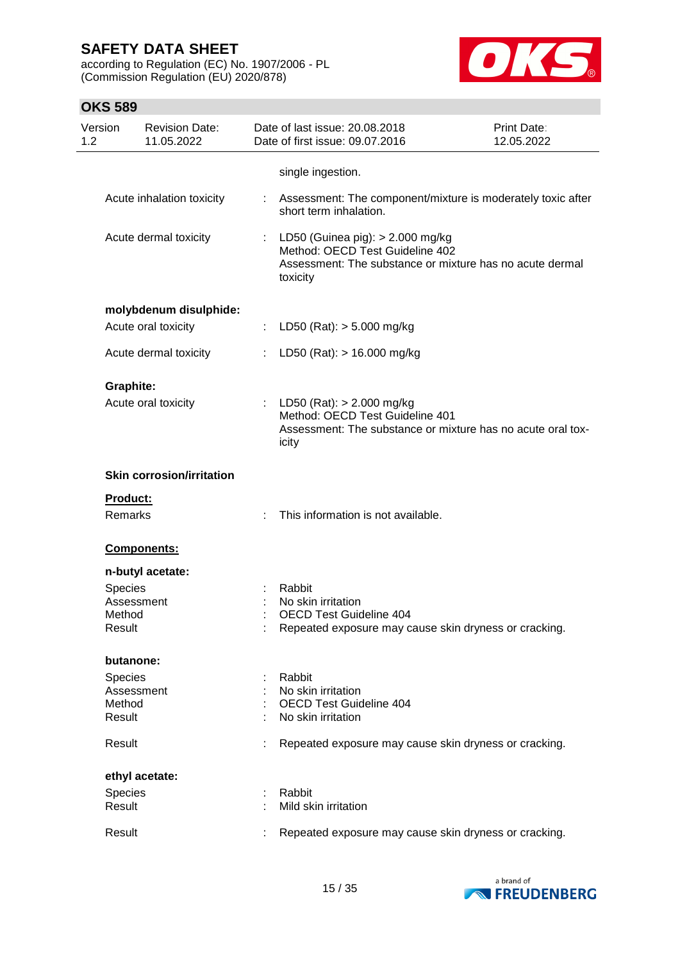according to Regulation (EC) No. 1907/2006 - PL (Commission Regulation (EU) 2020/878)



| Version<br>1.2 | <b>Revision Date:</b><br>11.05.2022 |    | Date of last issue: 20.08.2018<br>Date of first issue: 09.07.2016                                                                             | Print Date:<br>12.05.2022 |
|----------------|-------------------------------------|----|-----------------------------------------------------------------------------------------------------------------------------------------------|---------------------------|
|                |                                     |    | single ingestion.                                                                                                                             |                           |
|                | Acute inhalation toxicity           | t. | Assessment: The component/mixture is moderately toxic after<br>short term inhalation.                                                         |                           |
|                | Acute dermal toxicity               |    | : LD50 (Guinea pig): > 2.000 mg/kg<br>Method: OECD Test Guideline 402<br>Assessment: The substance or mixture has no acute dermal<br>toxicity |                           |
|                | molybdenum disulphide:              |    |                                                                                                                                               |                           |
|                | Acute oral toxicity                 |    | : LD50 (Rat): $>$ 5.000 mg/kg                                                                                                                 |                           |
|                | Acute dermal toxicity               |    | LD50 (Rat): $> 16.000$ mg/kg                                                                                                                  |                           |
|                | <b>Graphite:</b>                    |    |                                                                                                                                               |                           |
|                | Acute oral toxicity                 |    | : LD50 (Rat): $> 2.000$ mg/kg<br>Method: OECD Test Guideline 401<br>Assessment: The substance or mixture has no acute oral tox-<br>icity      |                           |
|                | <b>Skin corrosion/irritation</b>    |    |                                                                                                                                               |                           |
|                | Product:                            |    |                                                                                                                                               |                           |
|                | Remarks                             |    | This information is not available.                                                                                                            |                           |
|                | Components:                         |    |                                                                                                                                               |                           |
|                | n-butyl acetate:                    |    |                                                                                                                                               |                           |
|                | Species                             |    | Rabbit                                                                                                                                        |                           |
|                | Assessment                          |    | No skin irritation                                                                                                                            |                           |
|                | Method<br>Result                    |    | <b>OECD Test Guideline 404</b><br>Repeated exposure may cause skin dryness or cracking.                                                       |                           |
|                | butanone:                           |    |                                                                                                                                               |                           |
|                | <b>Species</b>                      |    | Rabbit                                                                                                                                        |                           |
|                | Assessment                          |    | No skin irritation                                                                                                                            |                           |
|                | Method<br>Result                    |    | OECD Test Guideline 404<br>No skin irritation                                                                                                 |                           |
|                | Result                              |    | Repeated exposure may cause skin dryness or cracking.                                                                                         |                           |
|                | ethyl acetate:                      |    |                                                                                                                                               |                           |
|                | Species                             |    | Rabbit                                                                                                                                        |                           |
|                | Result                              |    | Mild skin irritation                                                                                                                          |                           |
|                | Result                              |    | Repeated exposure may cause skin dryness or cracking.                                                                                         |                           |

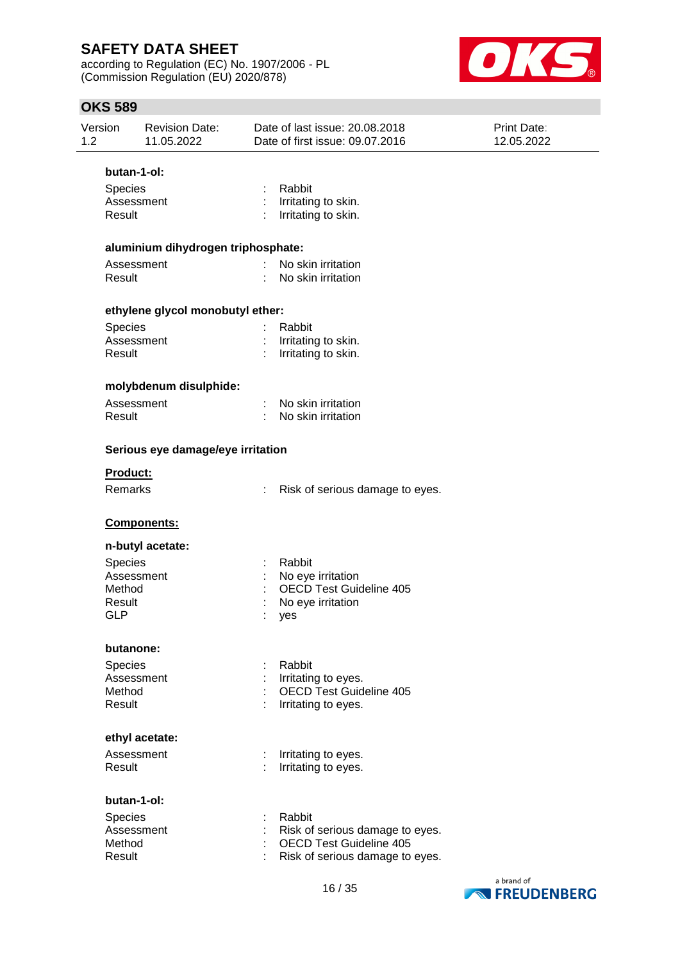according to Regulation (EC) No. 1907/2006 - PL (Commission Regulation (EU) 2020/878)



| 1.2 | Version                                                 | <b>Revision Date:</b><br>11.05.2022 |    | Date of last issue: 20.08.2018<br>Date of first issue: 09.07.2016                                              | <b>Print Date:</b><br>12.05.2022 |  |  |  |
|-----|---------------------------------------------------------|-------------------------------------|----|----------------------------------------------------------------------------------------------------------------|----------------------------------|--|--|--|
|     | butan-1-ol:                                             |                                     |    |                                                                                                                |                                  |  |  |  |
|     | Species<br>Assessment<br>Result                         |                                     |    | Rabbit<br>Irritating to skin.<br>Irritating to skin.                                                           |                                  |  |  |  |
|     |                                                         | aluminium dihydrogen triphosphate:  |    |                                                                                                                |                                  |  |  |  |
|     | Assessment<br>Result                                    |                                     |    | No skin irritation<br>No skin irritation                                                                       |                                  |  |  |  |
|     | ethylene glycol monobutyl ether:                        |                                     |    |                                                                                                                |                                  |  |  |  |
|     | Species<br>Assessment<br>Result                         |                                     |    | Rabbit<br>Irritating to skin.<br>Irritating to skin.                                                           |                                  |  |  |  |
|     |                                                         | molybdenum disulphide:              |    |                                                                                                                |                                  |  |  |  |
|     | Assessment<br>Result                                    |                                     |    | No skin irritation<br>No skin irritation                                                                       |                                  |  |  |  |
|     |                                                         | Serious eye damage/eye irritation   |    |                                                                                                                |                                  |  |  |  |
|     | Product:<br><b>Remarks</b>                              |                                     | t. | Risk of serious damage to eyes.                                                                                |                                  |  |  |  |
|     | Components:                                             |                                     |    |                                                                                                                |                                  |  |  |  |
|     |                                                         | n-butyl acetate:                    |    |                                                                                                                |                                  |  |  |  |
|     | Species<br>Assessment<br>Method<br>Result<br><b>GLP</b> |                                     |    | Rabbit<br>No eye irritation<br><b>OECD Test Guideline 405</b><br>No eye irritation<br>yes                      |                                  |  |  |  |
|     | butanone:                                               |                                     |    |                                                                                                                |                                  |  |  |  |
|     | Species<br>Assessment<br>Method<br>Result               |                                     |    | Rabbit<br>Irritating to eyes.<br><b>OECD Test Guideline 405</b><br>Irritating to eyes.                         |                                  |  |  |  |
|     | ethyl acetate:                                          |                                     |    |                                                                                                                |                                  |  |  |  |
|     | Assessment<br>Result                                    |                                     |    | Irritating to eyes.<br>Irritating to eyes.                                                                     |                                  |  |  |  |
|     | butan-1-ol:                                             |                                     |    |                                                                                                                |                                  |  |  |  |
|     | Species<br>Assessment<br>Method<br>Result               |                                     |    | Rabbit<br>Risk of serious damage to eyes.<br><b>OECD Test Guideline 405</b><br>Risk of serious damage to eyes. |                                  |  |  |  |

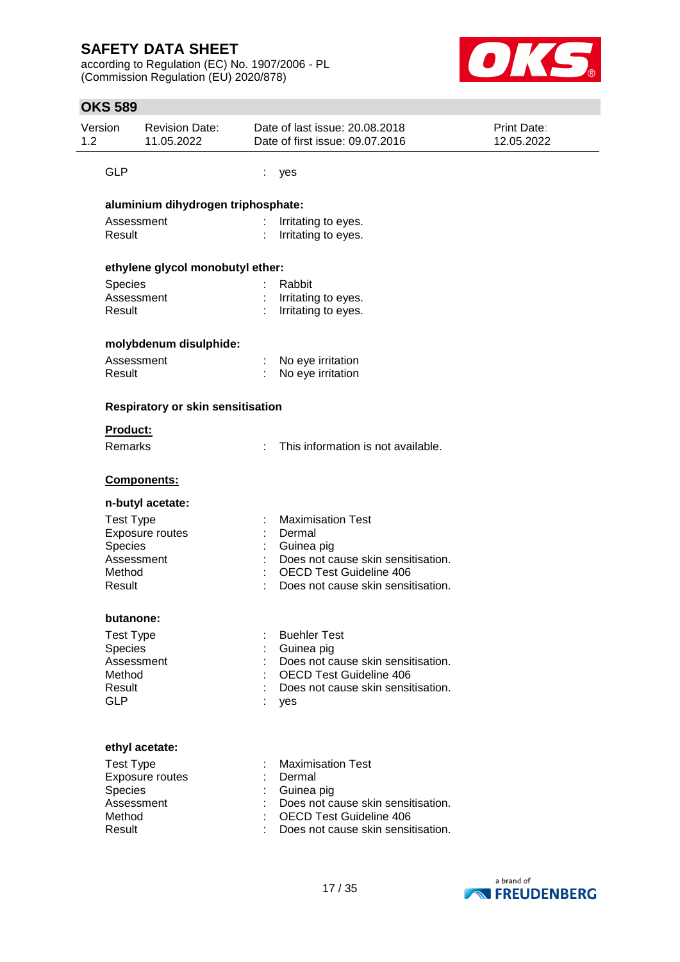according to Regulation (EC) No. 1907/2006 - PL (Commission Regulation (EU) 2020/878)



| 1.2 | Version                            | <b>Revision Date:</b><br>11.05.2022 |   | Date of last issue: 20.08.2018<br>Date of first issue: 09.07.2016    | Print Date:<br>12.05.2022 |  |  |  |
|-----|------------------------------------|-------------------------------------|---|----------------------------------------------------------------------|---------------------------|--|--|--|
|     | <b>GLP</b>                         |                                     | ÷ | yes                                                                  |                           |  |  |  |
|     | aluminium dihydrogen triphosphate: |                                     |   |                                                                      |                           |  |  |  |
|     | Assessment<br>Result               |                                     |   | Irritating to eyes.<br>Irritating to eyes.                           |                           |  |  |  |
|     | ethylene glycol monobutyl ether:   |                                     |   |                                                                      |                           |  |  |  |
|     | Species                            |                                     |   | Rabbit                                                               |                           |  |  |  |
|     | Assessment<br>Result               |                                     |   | Irritating to eyes.<br>Irritating to eyes.                           |                           |  |  |  |
|     |                                    | molybdenum disulphide:              |   |                                                                      |                           |  |  |  |
|     | Assessment                         |                                     |   | No eye irritation                                                    |                           |  |  |  |
|     | Result                             |                                     |   | No eye irritation                                                    |                           |  |  |  |
|     | Respiratory or skin sensitisation  |                                     |   |                                                                      |                           |  |  |  |
|     | Product:                           |                                     |   |                                                                      |                           |  |  |  |
|     | Remarks                            |                                     |   | This information is not available.                                   |                           |  |  |  |
|     |                                    | Components:                         |   |                                                                      |                           |  |  |  |
|     |                                    | n-butyl acetate:                    |   |                                                                      |                           |  |  |  |
|     | <b>Test Type</b>                   |                                     |   | <b>Maximisation Test</b>                                             |                           |  |  |  |
|     | Species                            | Exposure routes                     |   | Dermal<br>Guinea pig                                                 |                           |  |  |  |
|     | Assessment                         |                                     |   | Does not cause skin sensitisation.                                   |                           |  |  |  |
|     | Method                             |                                     |   | <b>OECD Test Guideline 406</b>                                       |                           |  |  |  |
|     | Result                             |                                     |   | Does not cause skin sensitisation.                                   |                           |  |  |  |
|     | butanone:                          |                                     |   |                                                                      |                           |  |  |  |
|     | <b>Test Type</b>                   |                                     |   | <b>Buehler Test</b>                                                  |                           |  |  |  |
|     | Species<br>Assessment              |                                     |   | Guinea pig<br>Does not cause skin sensitisation.                     |                           |  |  |  |
|     | Method                             |                                     |   | <b>OECD Test Guideline 406</b>                                       |                           |  |  |  |
|     | Result                             |                                     |   | Does not cause skin sensitisation.                                   |                           |  |  |  |
|     | <b>GLP</b>                         |                                     |   | yes                                                                  |                           |  |  |  |
|     |                                    | ethyl acetate:                      |   |                                                                      |                           |  |  |  |
|     | <b>Test Type</b>                   |                                     |   | <b>Maximisation Test</b>                                             |                           |  |  |  |
|     |                                    | Exposure routes                     |   | Dermal                                                               |                           |  |  |  |
|     | Species                            |                                     |   | Guinea pig                                                           |                           |  |  |  |
|     | Assessment                         |                                     |   | Does not cause skin sensitisation.                                   |                           |  |  |  |
|     | Method<br>Result                   |                                     |   | <b>OECD Test Guideline 406</b><br>Does not cause skin sensitisation. |                           |  |  |  |
|     |                                    |                                     |   |                                                                      |                           |  |  |  |

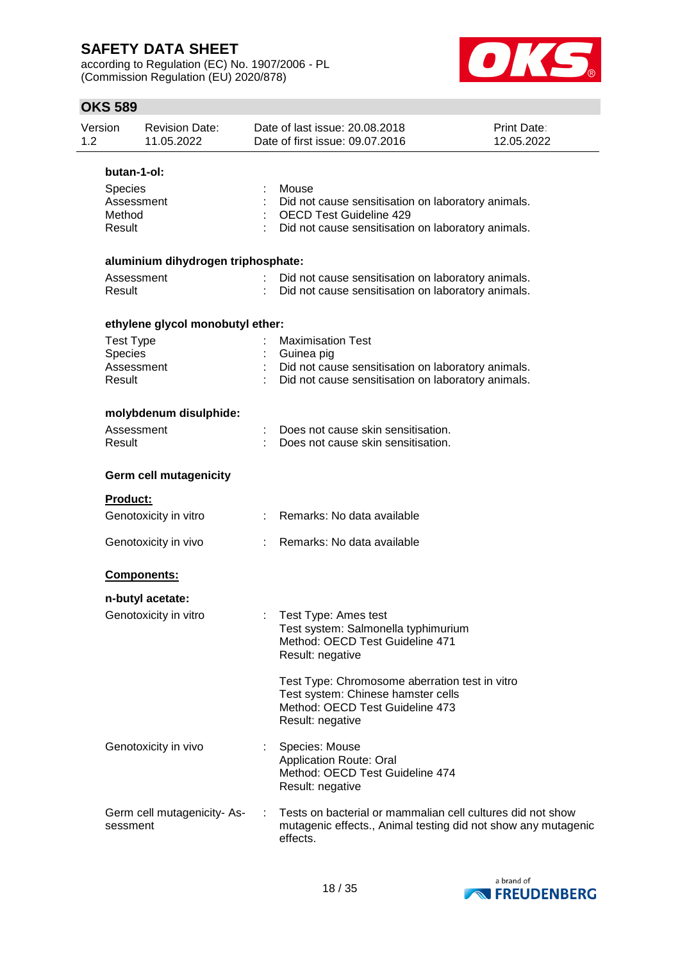according to Regulation (EC) No. 1907/2006 - PL (Commission Regulation (EU) 2020/878)



| Version<br>1.2 |                                                          | <b>Revision Date:</b><br>11.05.2022       |   | Date of last issue: 20.08.2018<br>Date of first issue: 09.07.2016                                                                                   | <b>Print Date:</b><br>12.05.2022 |
|----------------|----------------------------------------------------------|-------------------------------------------|---|-----------------------------------------------------------------------------------------------------------------------------------------------------|----------------------------------|
|                | butan-1-ol:<br>Species<br>Assessment<br>Method<br>Result |                                           |   | Mouse<br>Did not cause sensitisation on laboratory animals.<br><b>OECD Test Guideline 429</b><br>Did not cause sensitisation on laboratory animals. |                                  |
|                | Assessment<br>Result                                     | aluminium dihydrogen triphosphate:        |   | Did not cause sensitisation on laboratory animals.<br>Did not cause sensitisation on laboratory animals.                                            |                                  |
|                | <b>Test Type</b><br>Species<br>Assessment<br>Result      | ethylene glycol monobutyl ether:          |   | <b>Maximisation Test</b><br>Guinea pig<br>Did not cause sensitisation on laboratory animals.<br>Did not cause sensitisation on laboratory animals.  |                                  |
|                | Assessment<br>Result                                     | molybdenum disulphide:                    |   | Does not cause skin sensitisation.<br>Does not cause skin sensitisation.                                                                            |                                  |
|                | <b>Product:</b>                                          | <b>Germ cell mutagenicity</b>             |   |                                                                                                                                                     |                                  |
|                |                                                          | Genotoxicity in vitro                     |   | Remarks: No data available                                                                                                                          |                                  |
|                |                                                          | Genotoxicity in vivo                      |   | Remarks: No data available                                                                                                                          |                                  |
|                |                                                          | Components:                               |   |                                                                                                                                                     |                                  |
|                |                                                          | n-butyl acetate:<br>Genotoxicity in vitro |   | : Test Type: Ames test<br>Test system: Salmonella typhimurium<br>Method: OECD Test Guideline 471<br>Result: negative                                |                                  |
|                |                                                          |                                           |   | Test Type: Chromosome aberration test in vitro<br>Test system: Chinese hamster cells<br>Method: OECD Test Guideline 473<br>Result: negative         |                                  |
|                |                                                          | Genotoxicity in vivo                      |   | Species: Mouse<br><b>Application Route: Oral</b><br>Method: OECD Test Guideline 474<br>Result: negative                                             |                                  |
|                | sessment                                                 | Germ cell mutagenicity-As-                | ÷ | Tests on bacterial or mammalian cell cultures did not show<br>mutagenic effects., Animal testing did not show any mutagenic<br>effects.             |                                  |

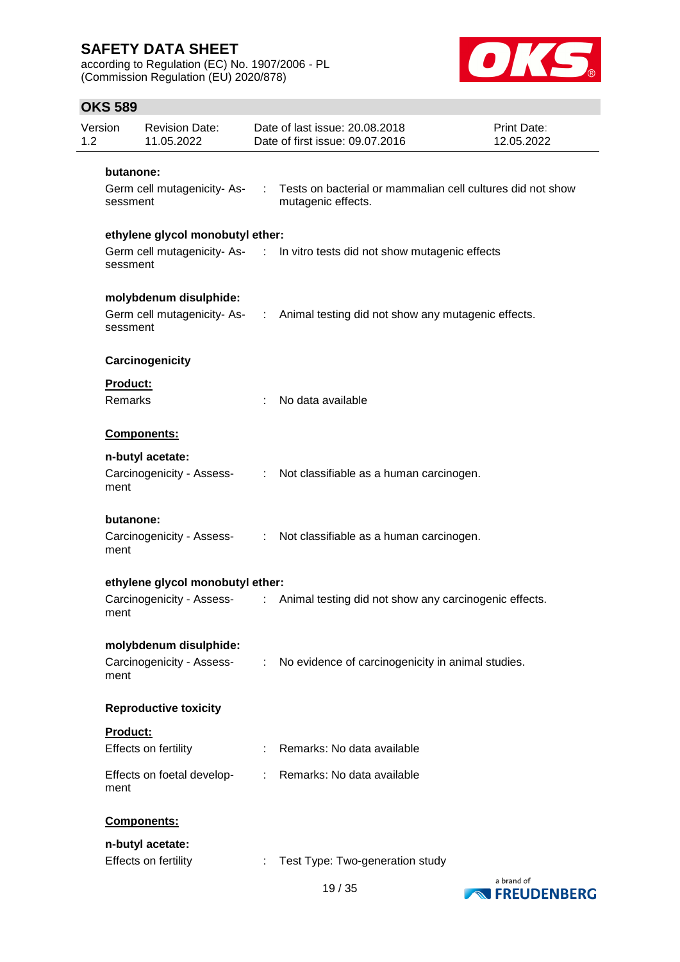according to Regulation (EC) No. 1907/2006 - PL (Commission Regulation (EU) 2020/878)



| Version<br>1.2 |                                  | <b>Revision Date:</b><br>11.05.2022 | Date of last issue: 20.08.2018<br><b>Print Date:</b><br>Date of first issue: 09.07.2016<br>12.05.2022 |                                                                                  |            |
|----------------|----------------------------------|-------------------------------------|-------------------------------------------------------------------------------------------------------|----------------------------------------------------------------------------------|------------|
|                | butanone:                        |                                     |                                                                                                       |                                                                                  |            |
|                | sessment                         | Germ cell mutagenicity-As- :        |                                                                                                       | Tests on bacterial or mammalian cell cultures did not show<br>mutagenic effects. |            |
|                |                                  | ethylene glycol monobutyl ether:    |                                                                                                       |                                                                                  |            |
|                | sessment                         |                                     |                                                                                                       | Germ cell mutagenicity-As- : In vitro tests did not show mutagenic effects       |            |
|                |                                  | molybdenum disulphide:              |                                                                                                       |                                                                                  |            |
|                | sessment                         |                                     |                                                                                                       | Germ cell mutagenicity-As- : Animal testing did not show any mutagenic effects.  |            |
|                |                                  | Carcinogenicity                     |                                                                                                       |                                                                                  |            |
|                | <b>Product:</b>                  |                                     |                                                                                                       |                                                                                  |            |
|                | <b>Remarks</b>                   |                                     |                                                                                                       | No data available                                                                |            |
|                |                                  | Components:                         |                                                                                                       |                                                                                  |            |
|                |                                  | n-butyl acetate:                    |                                                                                                       |                                                                                  |            |
|                | ment                             | Carcinogenicity - Assess-           |                                                                                                       | : Not classifiable as a human carcinogen.                                        |            |
|                | butanone:                        |                                     |                                                                                                       |                                                                                  |            |
|                | ment                             | Carcinogenicity - Assess-           |                                                                                                       | : Not classifiable as a human carcinogen.                                        |            |
|                | ethylene glycol monobutyl ether: |                                     |                                                                                                       |                                                                                  |            |
|                | ment                             | Carcinogenicity - Assess-           |                                                                                                       | : Animal testing did not show any carcinogenic effects.                          |            |
|                |                                  | molybdenum disulphide:              |                                                                                                       |                                                                                  |            |
|                | ment                             | Carcinogenicity - Assess-           | $\mathcal{L}^{\mathcal{L}}$ .                                                                         | No evidence of carcinogenicity in animal studies.                                |            |
|                |                                  | <b>Reproductive toxicity</b>        |                                                                                                       |                                                                                  |            |
|                | Product:                         |                                     |                                                                                                       |                                                                                  |            |
|                |                                  | Effects on fertility                |                                                                                                       | : Remarks: No data available                                                     |            |
|                | ment                             | Effects on foetal develop-          |                                                                                                       | : Remarks: No data available                                                     |            |
|                |                                  | Components:                         |                                                                                                       |                                                                                  |            |
|                |                                  | n-butyl acetate:                    |                                                                                                       |                                                                                  |            |
|                |                                  | Effects on fertility                |                                                                                                       | Test Type: Two-generation study                                                  |            |
|                |                                  |                                     |                                                                                                       |                                                                                  | a brand of |

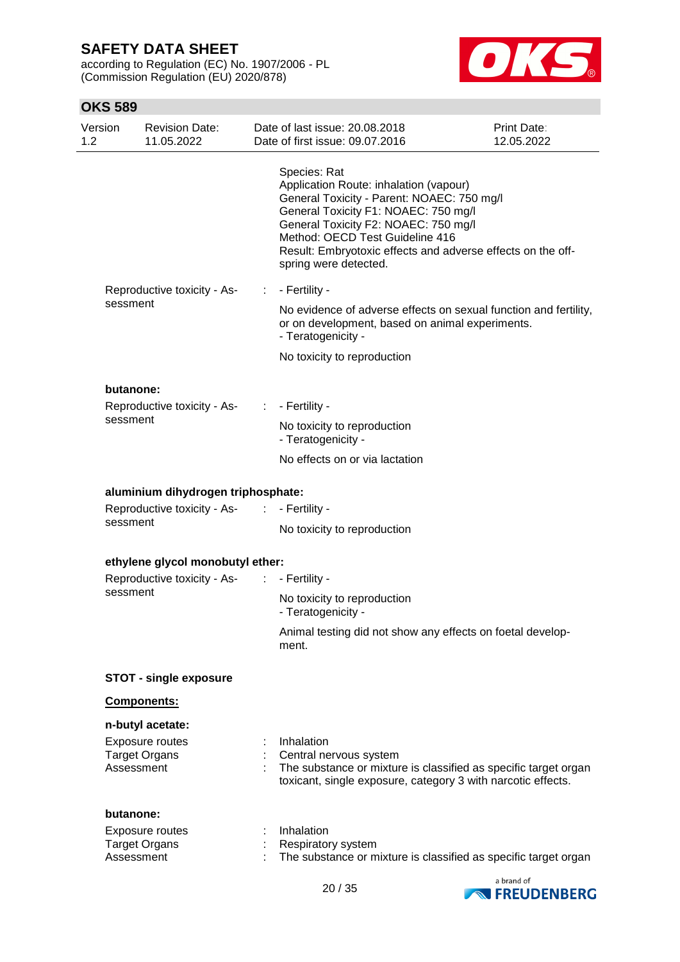according to Regulation (EC) No. 1907/2006 - PL (Commission Regulation (EU) 2020/878)



| Version<br>1.2 |                             | <b>Revision Date:</b><br>11.05.2022     |                | Date of last issue: 20.08.2018<br>Date of first issue: 09.07.2016                                                                                                                                                                                                                                               | Print Date:<br>12.05.2022 |
|----------------|-----------------------------|-----------------------------------------|----------------|-----------------------------------------------------------------------------------------------------------------------------------------------------------------------------------------------------------------------------------------------------------------------------------------------------------------|---------------------------|
|                |                             |                                         |                | Species: Rat<br>Application Route: inhalation (vapour)<br>General Toxicity - Parent: NOAEC: 750 mg/l<br>General Toxicity F1: NOAEC: 750 mg/l<br>General Toxicity F2: NOAEC: 750 mg/l<br>Method: OECD Test Guideline 416<br>Result: Embryotoxic effects and adverse effects on the off-<br>spring were detected. |                           |
|                |                             | Reproductive toxicity - As-             | ÷.             | - Fertility -                                                                                                                                                                                                                                                                                                   |                           |
|                | sessment                    |                                         |                | No evidence of adverse effects on sexual function and fertility,<br>or on development, based on animal experiments.<br>- Teratogenicity -                                                                                                                                                                       |                           |
|                |                             |                                         |                | No toxicity to reproduction                                                                                                                                                                                                                                                                                     |                           |
|                | butanone:                   |                                         |                |                                                                                                                                                                                                                                                                                                                 |                           |
|                |                             | Reproductive toxicity - As-             | $\mathbb{Z}^n$ | - Fertility -                                                                                                                                                                                                                                                                                                   |                           |
|                |                             | sessment                                |                | No toxicity to reproduction<br>- Teratogenicity -                                                                                                                                                                                                                                                               |                           |
|                |                             |                                         |                | No effects on or via lactation                                                                                                                                                                                                                                                                                  |                           |
|                |                             | aluminium dihydrogen triphosphate:      |                |                                                                                                                                                                                                                                                                                                                 |                           |
|                | Reproductive toxicity - As- | $\sim 100$                              | - Fertility -  |                                                                                                                                                                                                                                                                                                                 |                           |
|                |                             | sessment                                |                | No toxicity to reproduction                                                                                                                                                                                                                                                                                     |                           |
|                |                             | ethylene glycol monobutyl ether:        |                |                                                                                                                                                                                                                                                                                                                 |                           |
|                |                             | Reproductive toxicity - As-<br>sessment |                | $\therefore$ - Fertility -                                                                                                                                                                                                                                                                                      |                           |
|                |                             |                                         |                | No toxicity to reproduction<br>- Teratogenicity -                                                                                                                                                                                                                                                               |                           |
|                |                             |                                         |                | Animal testing did not show any effects on foetal develop-<br>ment.                                                                                                                                                                                                                                             |                           |
|                |                             | <b>STOT - single exposure</b>           |                |                                                                                                                                                                                                                                                                                                                 |                           |
|                |                             | Components:                             |                |                                                                                                                                                                                                                                                                                                                 |                           |
|                |                             | n-butyl acetate:                        |                |                                                                                                                                                                                                                                                                                                                 |                           |
|                | Assessment                  | Exposure routes<br><b>Target Organs</b> |                | Inhalation<br>Central nervous system<br>The substance or mixture is classified as specific target organ<br>toxicant, single exposure, category 3 with narcotic effects.                                                                                                                                         |                           |
|                | butanone:                   |                                         |                |                                                                                                                                                                                                                                                                                                                 |                           |
|                | Assessment                  | Exposure routes<br><b>Target Organs</b> |                | Inhalation<br>Respiratory system<br>The substance or mixture is classified as specific target organ                                                                                                                                                                                                             |                           |
|                |                             |                                         |                |                                                                                                                                                                                                                                                                                                                 | a brand of                |

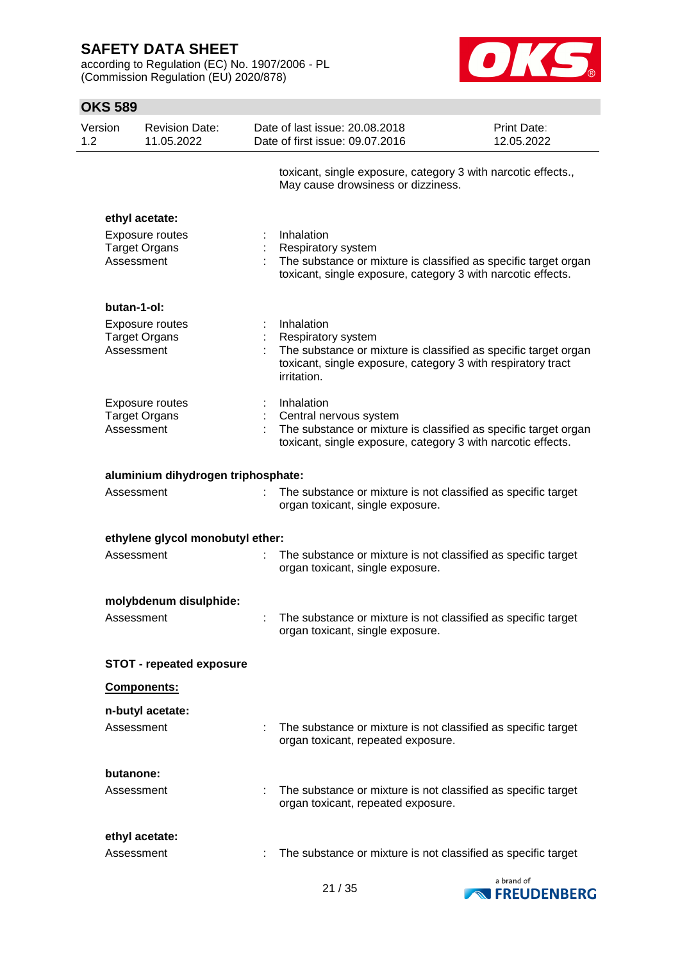according to Regulation (EC) No. 1907/2006 - PL (Commission Regulation (EU) 2020/878)



| Version<br>1.2 |                         | <b>Revision Date:</b><br>11.05.2022                              | Date of last issue: 20.08.2018<br>Date of first issue: 09.07.2016                                                                                                                         | Print Date:<br>12.05.2022 |
|----------------|-------------------------|------------------------------------------------------------------|-------------------------------------------------------------------------------------------------------------------------------------------------------------------------------------------|---------------------------|
|                |                         |                                                                  | toxicant, single exposure, category 3 with narcotic effects.,<br>May cause drowsiness or dizziness.                                                                                       |                           |
|                | Assessment              | ethyl acetate:<br><b>Exposure routes</b><br><b>Target Organs</b> | Inhalation<br><b>Respiratory system</b><br>The substance or mixture is classified as specific target organ<br>toxicant, single exposure, category 3 with narcotic effects.                |                           |
|                | butan-1-ol:             |                                                                  |                                                                                                                                                                                           |                           |
|                | Assessment              | <b>Exposure routes</b><br><b>Target Organs</b>                   | Inhalation<br><b>Respiratory system</b><br>The substance or mixture is classified as specific target organ<br>toxicant, single exposure, category 3 with respiratory tract<br>irritation. |                           |
|                | Assessment              | Exposure routes<br><b>Target Organs</b>                          | Inhalation<br>Central nervous system<br>The substance or mixture is classified as specific target organ<br>toxicant, single exposure, category 3 with narcotic effects.                   |                           |
|                |                         | aluminium dihydrogen triphosphate:                               |                                                                                                                                                                                           |                           |
|                | Assessment              |                                                                  | The substance or mixture is not classified as specific target<br>organ toxicant, single exposure.                                                                                         |                           |
|                |                         | ethylene glycol monobutyl ether:                                 |                                                                                                                                                                                           |                           |
|                | Assessment              |                                                                  | The substance or mixture is not classified as specific target<br>organ toxicant, single exposure.                                                                                         |                           |
|                |                         | molybdenum disulphide:                                           |                                                                                                                                                                                           |                           |
|                | Assessment              |                                                                  | The substance or mixture is not classified as specific target<br>organ toxicant, single exposure.                                                                                         |                           |
|                |                         | <b>STOT - repeated exposure</b>                                  |                                                                                                                                                                                           |                           |
|                |                         | Components:                                                      |                                                                                                                                                                                           |                           |
|                | Assessment              | n-butyl acetate:                                                 | The substance or mixture is not classified as specific target<br>organ toxicant, repeated exposure.                                                                                       |                           |
|                | butanone:<br>Assessment |                                                                  | : The substance or mixture is not classified as specific target<br>organ toxicant, repeated exposure.                                                                                     |                           |
|                | Assessment              | ethyl acetate:                                                   | The substance or mixture is not classified as specific target                                                                                                                             |                           |

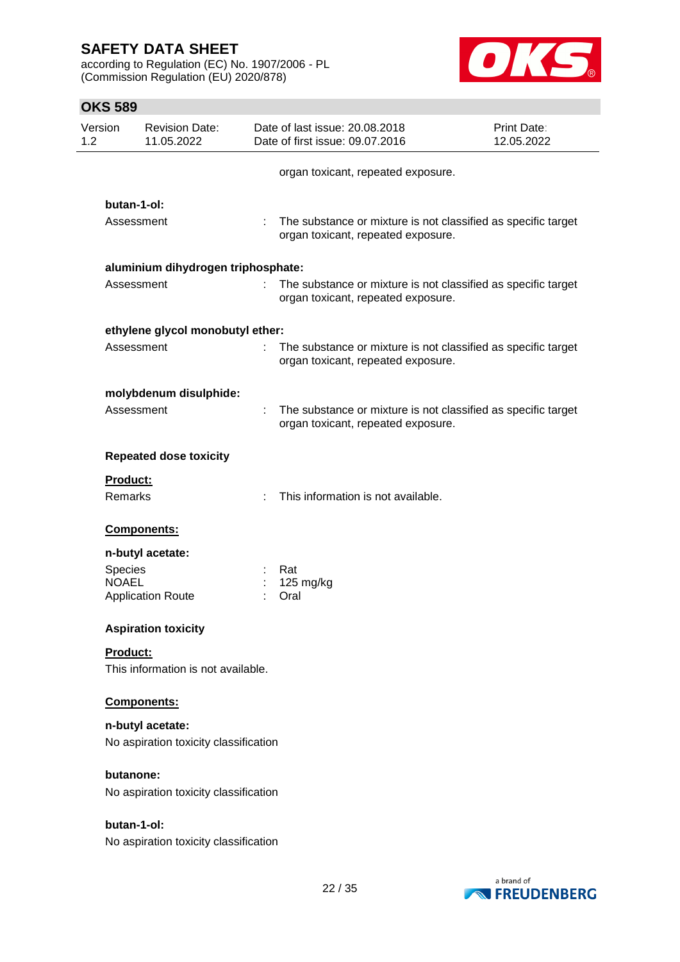according to Regulation (EC) No. 1907/2006 - PL (Commission Regulation (EU) 2020/878)



| Version<br><b>Revision Date:</b><br>11.05.2022<br>1.2 |    | Date of last issue: 20.08.2018<br>Date of first issue: 09.07.2016                                     | Print Date:<br>12.05.2022 |
|-------------------------------------------------------|----|-------------------------------------------------------------------------------------------------------|---------------------------|
|                                                       |    | organ toxicant, repeated exposure.                                                                    |                           |
| butan-1-ol:                                           |    |                                                                                                       |                           |
| Assessment                                            |    | : The substance or mixture is not classified as specific target<br>organ toxicant, repeated exposure. |                           |
| aluminium dihydrogen triphosphate:                    |    |                                                                                                       |                           |
| Assessment                                            | ÷. | The substance or mixture is not classified as specific target<br>organ toxicant, repeated exposure.   |                           |
| ethylene glycol monobutyl ether:                      |    |                                                                                                       |                           |
| Assessment                                            | t. | The substance or mixture is not classified as specific target<br>organ toxicant, repeated exposure.   |                           |
| molybdenum disulphide:                                |    |                                                                                                       |                           |
| Assessment                                            |    | The substance or mixture is not classified as specific target<br>organ toxicant, repeated exposure.   |                           |
| <b>Repeated dose toxicity</b>                         |    |                                                                                                       |                           |
| Product:<br>Remarks                                   |    | This information is not available.                                                                    |                           |
|                                                       |    |                                                                                                       |                           |
| Components:                                           |    |                                                                                                       |                           |
| n-butyl acetate:                                      |    |                                                                                                       |                           |
| Species                                               |    | Rat                                                                                                   |                           |
| <b>NOAEL</b><br><b>Application Route</b>              |    | 125 mg/kg<br>Oral                                                                                     |                           |
| <b>Aspiration toxicity</b>                            |    |                                                                                                       |                           |
| <b>Product:</b>                                       |    |                                                                                                       |                           |
| This information is not available.                    |    |                                                                                                       |                           |
| Components:                                           |    |                                                                                                       |                           |
| n-butyl acetate:                                      |    |                                                                                                       |                           |
| No aspiration toxicity classification                 |    |                                                                                                       |                           |
| butanone:<br>No aspiration toxicity classification    |    |                                                                                                       |                           |
|                                                       |    |                                                                                                       |                           |
| butan-1-ol:<br>No aspiration toxicity classification  |    |                                                                                                       |                           |
|                                                       |    | 22.125                                                                                                | a brand of                |

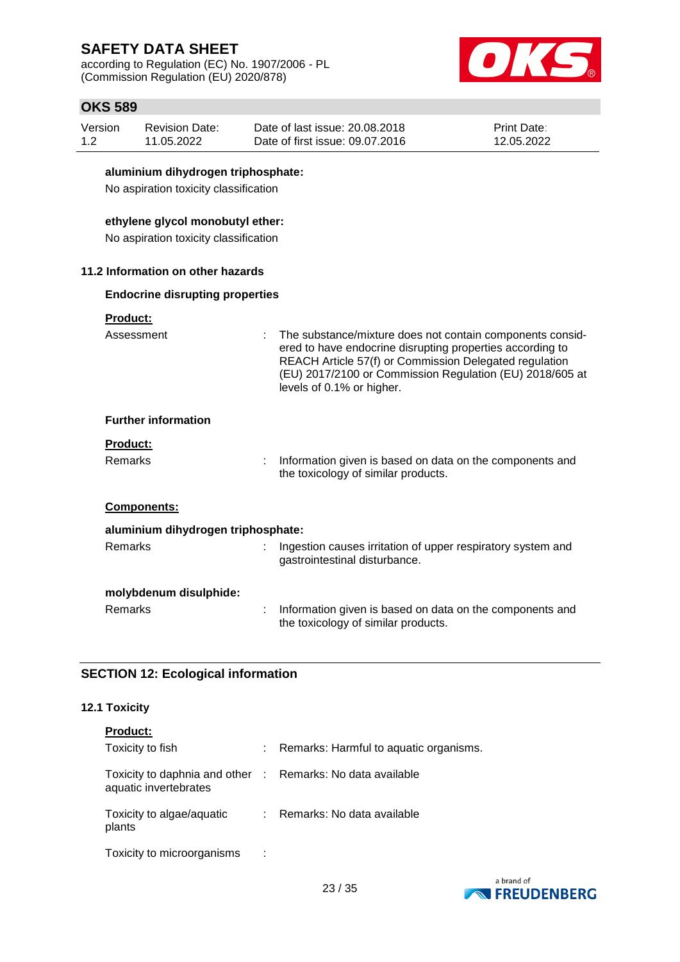according to Regulation (EC) No. 1907/2006 - PL (Commission Regulation (EU) 2020/878)



# **OKS 589**

| <b>OKS 589</b> |                                                                             |   |                                                                                                                                                                                                                                                                           |                                  |  |  |  |
|----------------|-----------------------------------------------------------------------------|---|---------------------------------------------------------------------------------------------------------------------------------------------------------------------------------------------------------------------------------------------------------------------------|----------------------------------|--|--|--|
| Version<br>1.2 | <b>Revision Date:</b><br>11.05.2022                                         |   | Date of last issue: 20.08.2018<br>Date of first issue: 09.07.2016                                                                                                                                                                                                         | <b>Print Date:</b><br>12.05.2022 |  |  |  |
|                | aluminium dihydrogen triphosphate:<br>No aspiration toxicity classification |   |                                                                                                                                                                                                                                                                           |                                  |  |  |  |
|                | ethylene glycol monobutyl ether:<br>No aspiration toxicity classification   |   |                                                                                                                                                                                                                                                                           |                                  |  |  |  |
|                | 11.2 Information on other hazards                                           |   |                                                                                                                                                                                                                                                                           |                                  |  |  |  |
|                | <b>Endocrine disrupting properties</b>                                      |   |                                                                                                                                                                                                                                                                           |                                  |  |  |  |
|                | <b>Product:</b><br>Assessment                                               |   | The substance/mixture does not contain components consid-<br>ered to have endocrine disrupting properties according to<br>REACH Article 57(f) or Commission Delegated regulation<br>(EU) 2017/2100 or Commission Regulation (EU) 2018/605 at<br>levels of 0.1% or higher. |                                  |  |  |  |
|                | <b>Further information</b>                                                  |   |                                                                                                                                                                                                                                                                           |                                  |  |  |  |
|                | Product:                                                                    |   |                                                                                                                                                                                                                                                                           |                                  |  |  |  |
|                | <b>Remarks</b>                                                              |   | Information given is based on data on the components and<br>the toxicology of similar products.                                                                                                                                                                           |                                  |  |  |  |
|                | <b>Components:</b>                                                          |   |                                                                                                                                                                                                                                                                           |                                  |  |  |  |
|                | aluminium dihydrogen triphosphate:                                          |   |                                                                                                                                                                                                                                                                           |                                  |  |  |  |
|                | <b>Remarks</b>                                                              |   | Ingestion causes irritation of upper respiratory system and<br>gastrointestinal disturbance.                                                                                                                                                                              |                                  |  |  |  |
|                | molybdenum disulphide:                                                      |   |                                                                                                                                                                                                                                                                           |                                  |  |  |  |
|                | Remarks                                                                     | t | Information given is based on data on the components and<br>the toxicology of similar products.                                                                                                                                                                           |                                  |  |  |  |

# **SECTION 12: Ecological information**

## **12.1 Toxicity**

| <b>Product:</b>                                                                     |                                        |
|-------------------------------------------------------------------------------------|----------------------------------------|
| Toxicity to fish                                                                    | Remarks: Harmful to aquatic organisms. |
| Toxicity to daphnia and other : Remarks: No data available<br>aquatic invertebrates |                                        |
| Toxicity to algae/aquatic<br>plants                                                 | : Remarks: No data available           |
| Toxicity to microorganisms                                                          |                                        |

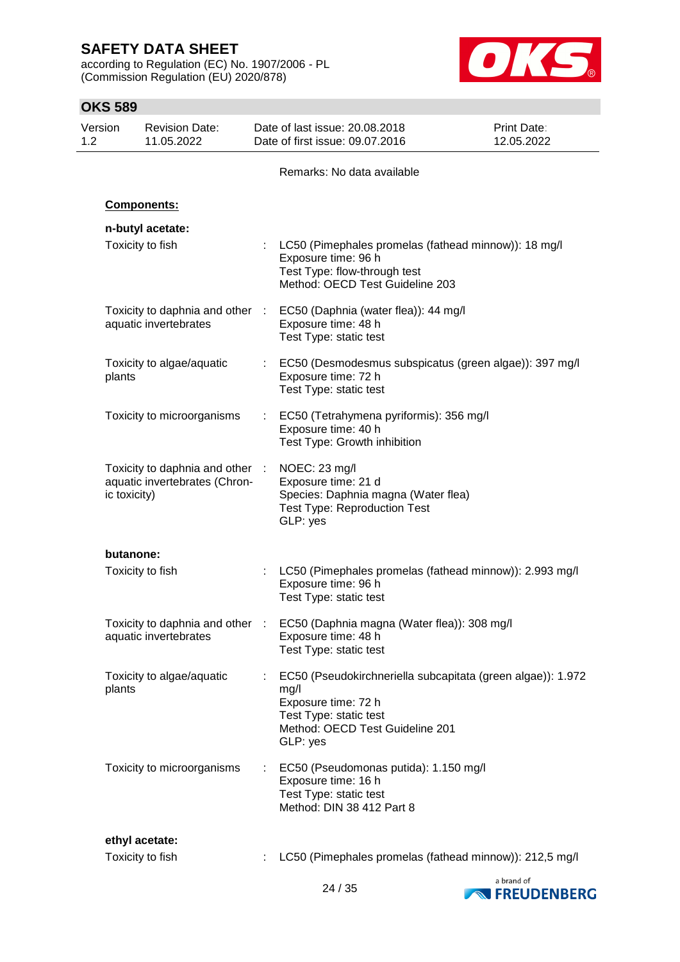according to Regulation (EC) No. 1907/2006 - PL (Commission Regulation (EU) 2020/878)



| Version<br>1.2 | <b>Revision Date:</b><br>11.05.2022                                              |                       | Date of last issue: 20.08.2018<br>Date of first issue: 09.07.2016                                                                                                   | <b>Print Date:</b><br>12.05.2022 |
|----------------|----------------------------------------------------------------------------------|-----------------------|---------------------------------------------------------------------------------------------------------------------------------------------------------------------|----------------------------------|
|                |                                                                                  |                       | Remarks: No data available                                                                                                                                          |                                  |
|                | <b>Components:</b>                                                               |                       |                                                                                                                                                                     |                                  |
|                | n-butyl acetate:                                                                 |                       |                                                                                                                                                                     |                                  |
|                | Toxicity to fish                                                                 |                       | LC50 (Pimephales promelas (fathead minnow)): 18 mg/l<br>Exposure time: 96 h<br>Test Type: flow-through test<br>Method: OECD Test Guideline 203                      |                                  |
|                | Toxicity to daphnia and other :<br>aquatic invertebrates                         |                       | EC50 (Daphnia (water flea)): 44 mg/l<br>Exposure time: 48 h<br>Test Type: static test                                                                               |                                  |
| plants         | Toxicity to algae/aquatic                                                        |                       | : EC50 (Desmodesmus subspicatus (green algae)): 397 mg/l<br>Exposure time: 72 h<br>Test Type: static test                                                           |                                  |
|                | Toxicity to microorganisms                                                       |                       | EC50 (Tetrahymena pyriformis): 356 mg/l<br>Exposure time: 40 h<br>Test Type: Growth inhibition                                                                      |                                  |
|                | Toxicity to daphnia and other :<br>aquatic invertebrates (Chron-<br>ic toxicity) |                       | NOEC: 23 mg/l<br>Exposure time: 21 d<br>Species: Daphnia magna (Water flea)<br><b>Test Type: Reproduction Test</b><br>GLP: yes                                      |                                  |
|                | butanone:                                                                        |                       |                                                                                                                                                                     |                                  |
|                | Toxicity to fish                                                                 | $\mathbb{Z}^{\times}$ | LC50 (Pimephales promelas (fathead minnow)): 2.993 mg/l<br>Exposure time: 96 h<br>Test Type: static test                                                            |                                  |
|                | Toxicity to daphnia and other<br>aquatic invertebrates                           |                       | EC50 (Daphnia magna (Water flea)): 308 mg/l<br>Exposure time: 48 h<br>Test Type: static test                                                                        |                                  |
| plants         | Toxicity to algae/aquatic                                                        |                       | EC50 (Pseudokirchneriella subcapitata (green algae)): 1.972<br>mg/l<br>Exposure time: 72 h<br>Test Type: static test<br>Method: OECD Test Guideline 201<br>GLP: yes |                                  |
|                | Toxicity to microorganisms                                                       | ÷.                    | EC50 (Pseudomonas putida): 1.150 mg/l<br>Exposure time: 16 h<br>Test Type: static test<br>Method: DIN 38 412 Part 8                                                 |                                  |
|                | ethyl acetate:                                                                   |                       |                                                                                                                                                                     |                                  |
|                | Toxicity to fish                                                                 |                       | LC50 (Pimephales promelas (fathead minnow)): 212,5 mg/l                                                                                                             |                                  |

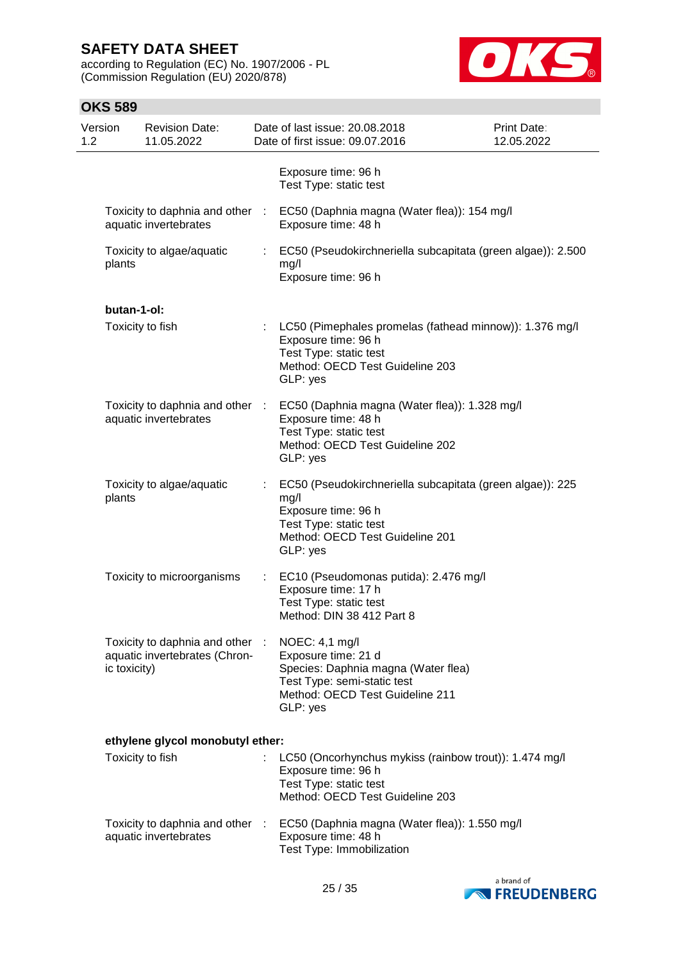according to Regulation (EC) No. 1907/2006 - PL (Commission Regulation (EU) 2020/878)



| Version<br>1.2 |              | <b>Revision Date:</b><br>11.05.2022                              |    | Date of last issue: 20.08.2018<br>Date of first issue: 09.07.2016                                                                                                 | <b>Print Date:</b><br>12.05.2022 |
|----------------|--------------|------------------------------------------------------------------|----|-------------------------------------------------------------------------------------------------------------------------------------------------------------------|----------------------------------|
|                |              |                                                                  |    | Exposure time: 96 h<br>Test Type: static test                                                                                                                     |                                  |
|                |              | Toxicity to daphnia and other<br>aquatic invertebrates           |    | EC50 (Daphnia magna (Water flea)): 154 mg/l<br>Exposure time: 48 h                                                                                                |                                  |
|                | plants       | Toxicity to algae/aquatic                                        | ÷. | EC50 (Pseudokirchneriella subcapitata (green algae)): 2.500<br>mg/l<br>Exposure time: 96 h                                                                        |                                  |
|                | butan-1-ol:  |                                                                  |    |                                                                                                                                                                   |                                  |
|                |              | Toxicity to fish                                                 | ÷. | LC50 (Pimephales promelas (fathead minnow)): 1.376 mg/l<br>Exposure time: 96 h<br>Test Type: static test<br>Method: OECD Test Guideline 203<br>GLP: yes           |                                  |
|                |              | Toxicity to daphnia and other :<br>aquatic invertebrates         |    | EC50 (Daphnia magna (Water flea)): 1.328 mg/l<br>Exposure time: 48 h<br>Test Type: static test<br>Method: OECD Test Guideline 202<br>GLP: yes                     |                                  |
|                | plants       | Toxicity to algae/aquatic                                        | t. | EC50 (Pseudokirchneriella subcapitata (green algae)): 225<br>mg/l<br>Exposure time: 96 h<br>Test Type: static test<br>Method: OECD Test Guideline 201<br>GLP: yes |                                  |
|                |              | Toxicity to microorganisms                                       |    | EC10 (Pseudomonas putida): 2.476 mg/l<br>Exposure time: 17 h<br>Test Type: static test<br>Method: DIN 38 412 Part 8                                               |                                  |
|                | ic toxicity) | Toxicity to daphnia and other :<br>aquatic invertebrates (Chron- |    | NOEC: 4,1 mg/l<br>Exposure time: 21 d<br>Species: Daphnia magna (Water flea)<br>Test Type: semi-static test<br>Method: OECD Test Guideline 211<br>GLP: yes        |                                  |
|                |              | ethylene glycol monobutyl ether:                                 |    |                                                                                                                                                                   |                                  |
|                |              | Toxicity to fish                                                 |    | LC50 (Oncorhynchus mykiss (rainbow trout)): 1.474 mg/l<br>Exposure time: 96 h<br>Test Type: static test<br>Method: OECD Test Guideline 203                        |                                  |
|                |              | Toxicity to daphnia and other :<br>aquatic invertebrates         |    | EC50 (Daphnia magna (Water flea)): 1.550 mg/l<br>Exposure time: 48 h<br>Test Type: Immobilization                                                                 |                                  |

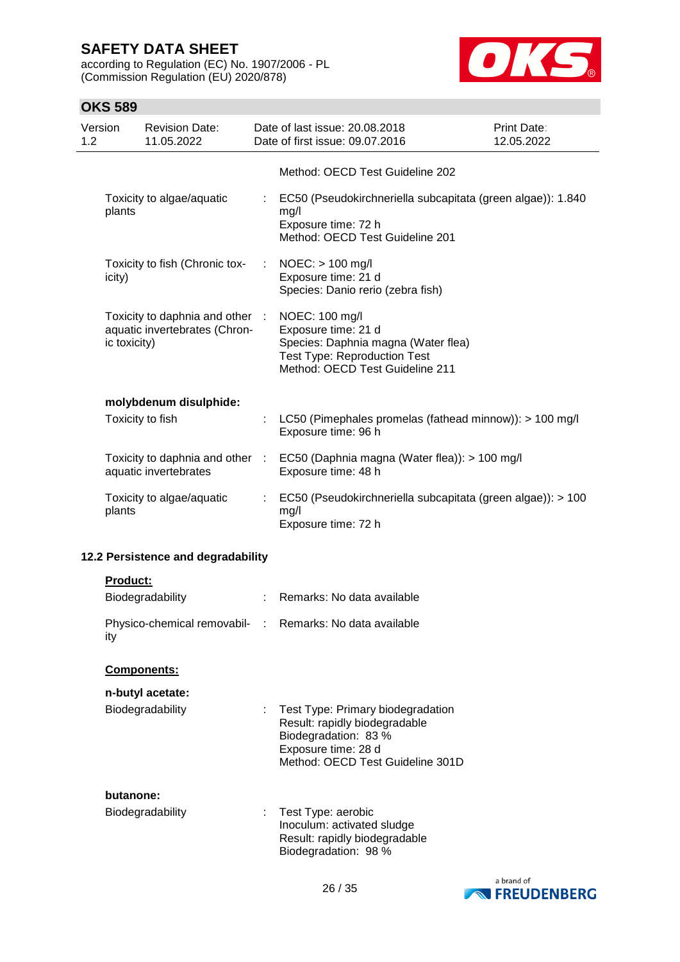according to Regulation (EC) No. 1907/2006 - PL (Commission Regulation (EU) 2020/878)



## **OKS 589**

| Version<br>1.2 |                 | <b>Revision Date:</b><br>11.05.2022                              |   | Date of last issue: 20.08.2018<br>Date of first issue: 09.07.2016                                                                                      | Print Date:<br>12.05.2022 |
|----------------|-----------------|------------------------------------------------------------------|---|--------------------------------------------------------------------------------------------------------------------------------------------------------|---------------------------|
|                |                 |                                                                  |   | Method: OECD Test Guideline 202                                                                                                                        |                           |
|                | plants          | Toxicity to algae/aquatic                                        |   | : EC50 (Pseudokirchneriella subcapitata (green algae)): 1.840<br>mg/l<br>Exposure time: 72 h<br>Method: OECD Test Guideline 201                        |                           |
|                | icity)          | Toxicity to fish (Chronic tox-                                   |   | $NOEC:$ > 100 mg/l<br>Exposure time: 21 d<br>Species: Danio rerio (zebra fish)                                                                         |                           |
|                | ic toxicity)    | Toxicity to daphnia and other :<br>aquatic invertebrates (Chron- |   | NOEC: 100 mg/l<br>Exposure time: 21 d<br>Species: Daphnia magna (Water flea)<br><b>Test Type: Reproduction Test</b><br>Method: OECD Test Guideline 211 |                           |
|                |                 | molybdenum disulphide:                                           |   |                                                                                                                                                        |                           |
|                |                 | Toxicity to fish                                                 |   | LC50 (Pimephales promelas (fathead minnow)): > 100 mg/l<br>Exposure time: 96 h                                                                         |                           |
|                |                 | aquatic invertebrates                                            |   | Toxicity to daphnia and other : EC50 (Daphnia magna (Water flea)): > 100 mg/l<br>Exposure time: 48 h                                                   |                           |
|                | plants          | Toxicity to algae/aquatic                                        |   | EC50 (Pseudokirchneriella subcapitata (green algae)): > 100<br>mg/l<br>Exposure time: 72 h                                                             |                           |
|                |                 | 12.2 Persistence and degradability                               |   |                                                                                                                                                        |                           |
|                | <b>Product:</b> |                                                                  |   |                                                                                                                                                        |                           |
|                |                 | Biodegradability                                                 | ÷ | Remarks: No data available                                                                                                                             |                           |
|                |                 | Physico-chemical removabil-                                      |   | Remarks: No data available                                                                                                                             |                           |

#### **Components:**

ity

| n-butyl acetate: |  |
|------------------|--|
|------------------|--|

| Biodegradability | : Test Type: Primary biodegradation |
|------------------|-------------------------------------|
|                  | Result: rapidly biodegradable       |
|                  | Biodegradation: 83 %                |
|                  | Exposure time: 28 d                 |
|                  | Method: OECD Test Guideline 301D    |
|                  |                                     |

#### **butanone:**

| Biodegradability | : Test Type: aerobic          |
|------------------|-------------------------------|
|                  | Inoculum: activated sludge    |
|                  | Result: rapidly biodegradable |
|                  | Biodegradation: 98 %          |

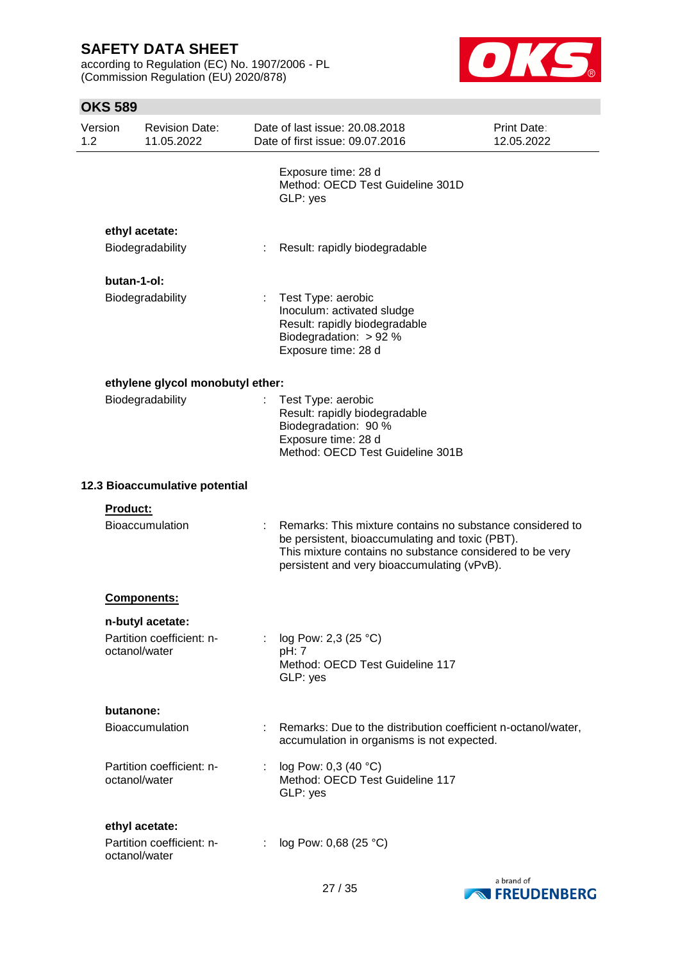according to Regulation (EC) No. 1907/2006 - PL (Commission Regulation (EU) 2020/878)



| Version<br>1.2 |                 | <b>Revision Date:</b><br>11.05.2022         |    | Date of last issue: 20.08.2018<br>Date of first issue: 09.07.2016                                                                                                                                                       | <b>Print Date:</b><br>12.05.2022 |
|----------------|-----------------|---------------------------------------------|----|-------------------------------------------------------------------------------------------------------------------------------------------------------------------------------------------------------------------------|----------------------------------|
|                |                 |                                             |    | Exposure time: 28 d<br>Method: OECD Test Guideline 301D<br>GLP: yes                                                                                                                                                     |                                  |
|                |                 | ethyl acetate:                              |    |                                                                                                                                                                                                                         |                                  |
|                |                 | Biodegradability                            |    | Result: rapidly biodegradable                                                                                                                                                                                           |                                  |
|                | butan-1-ol:     |                                             |    |                                                                                                                                                                                                                         |                                  |
|                |                 | Biodegradability                            | t. | Test Type: aerobic<br>Inoculum: activated sludge<br>Result: rapidly biodegradable<br>Biodegradation: $> 92 %$<br>Exposure time: 28 d                                                                                    |                                  |
|                |                 | ethylene glycol monobutyl ether:            |    |                                                                                                                                                                                                                         |                                  |
|                |                 | Biodegradability                            |    | Test Type: aerobic<br>Result: rapidly biodegradable<br>Biodegradation: 90 %<br>Exposure time: 28 d<br>Method: OECD Test Guideline 301B                                                                                  |                                  |
|                |                 | 12.3 Bioaccumulative potential              |    |                                                                                                                                                                                                                         |                                  |
|                | <b>Product:</b> | Bioaccumulation                             |    | Remarks: This mixture contains no substance considered to<br>be persistent, bioaccumulating and toxic (PBT).<br>This mixture contains no substance considered to be very<br>persistent and very bioaccumulating (vPvB). |                                  |
|                |                 | Components:                                 |    |                                                                                                                                                                                                                         |                                  |
|                |                 | n-butyl acetate:                            |    |                                                                                                                                                                                                                         |                                  |
|                | octanol/water   | Partition coefficient: n-                   |    | log Pow: 2,3 (25 °C)<br>pH: 7<br>Method: OECD Test Guideline 117<br>GLP: yes                                                                                                                                            |                                  |
|                | butanone:       |                                             |    |                                                                                                                                                                                                                         |                                  |
|                |                 | <b>Bioaccumulation</b>                      |    | Remarks: Due to the distribution coefficient n-octanol/water,<br>accumulation in organisms is not expected.                                                                                                             |                                  |
|                | octanol/water   | Partition coefficient: n-                   |    | log Pow: 0,3 (40 °C)<br>Method: OECD Test Guideline 117<br>GLP: yes                                                                                                                                                     |                                  |
|                | octanol/water   | ethyl acetate:<br>Partition coefficient: n- |    | : $log Pow: 0,68 (25 °C)$                                                                                                                                                                                               |                                  |

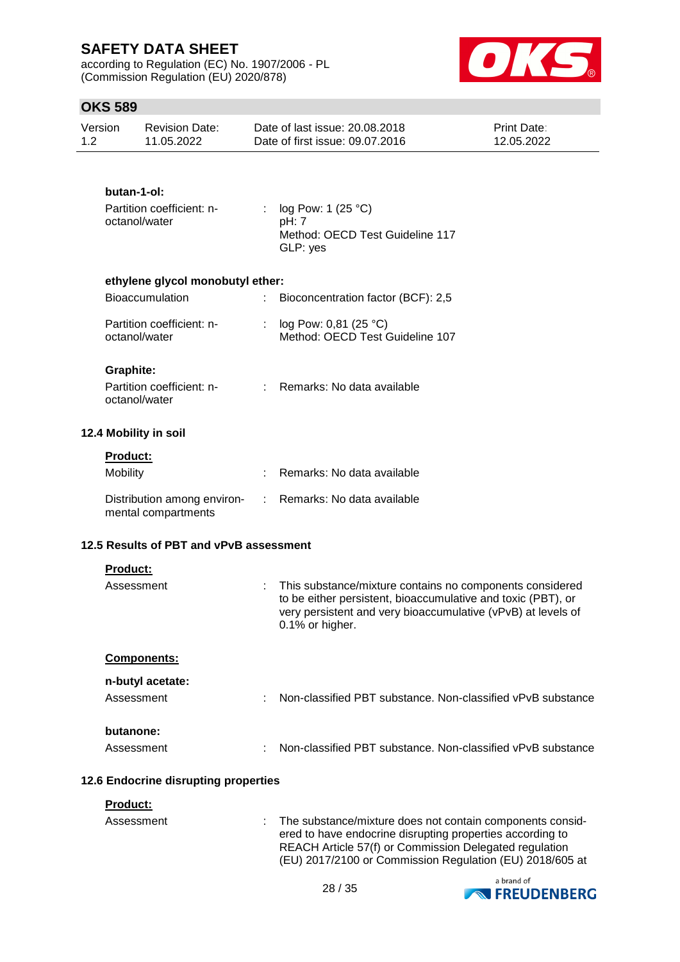according to Regulation (EC) No. 1907/2006 - PL (Commission Regulation (EU) 2020/878)



## **OKS 589**

| Version | Revision Date: | Date of last issue: 20.08.2018  | <b>Print Date:</b> |
|---------|----------------|---------------------------------|--------------------|
| 1.2     | 11.05.2022     | Date of first issue: 09.07.2016 | 12.05.2022         |

### **butan-1-ol:**

| Partition coefficient: n- | : $log Pow: 1 (25 °C)$          |
|---------------------------|---------------------------------|
| octanol/water             | pH: 7                           |
|                           | Method: OECD Test Guideline 117 |
|                           | GLP: yes                        |

### **ethylene glycol monobutyl ether:**

| <b>Bioaccumulation</b>                     | Bioconcentration factor (BCF): 2,5                           |
|--------------------------------------------|--------------------------------------------------------------|
| Partition coefficient: n-<br>octanol/water | : $log Pow: 0.81 (25 °C)$<br>Method: OECD Test Guideline 107 |

#### **Graphite:**

| Partition coefficient: n- | : Remarks: No data available |
|---------------------------|------------------------------|
| octanol/water             |                              |

#### **12.4 Mobility in soil**

| <b>Product:</b>                                    |                              |
|----------------------------------------------------|------------------------------|
| Mobility                                           | Remarks: No data available   |
| Distribution among environ-<br>mental compartments | : Remarks: No data available |

### **12.5 Results of PBT and vPvB assessment**

| <b>Product:</b><br>Assessment  | : This substance/mixture contains no components considered<br>to be either persistent, bioaccumulative and toxic (PBT), or<br>very persistent and very bioaccumulative (vPvB) at levels of<br>0.1% or higher. |  |
|--------------------------------|---------------------------------------------------------------------------------------------------------------------------------------------------------------------------------------------------------------|--|
| <b>Components:</b>             |                                                                                                                                                                                                               |  |
| n-butyl acetate:<br>Assessment | Non-classified PBT substance. Non-classified vPvB substance                                                                                                                                                   |  |
| butanone:<br>Assessment        | Non-classified PBT substance. Non-classified vPvB substance<br>÷                                                                                                                                              |  |

### **12.6 Endocrine disrupting properties**

#### **Product:**

| Assessment | : The substance/mixture does not contain components consid-<br>ered to have endocrine disrupting properties according to<br>REACH Article 57(f) or Commission Delegated regulation<br>(EU) 2017/2100 or Commission Regulation (EU) 2018/605 at |
|------------|------------------------------------------------------------------------------------------------------------------------------------------------------------------------------------------------------------------------------------------------|
|            |                                                                                                                                                                                                                                                |

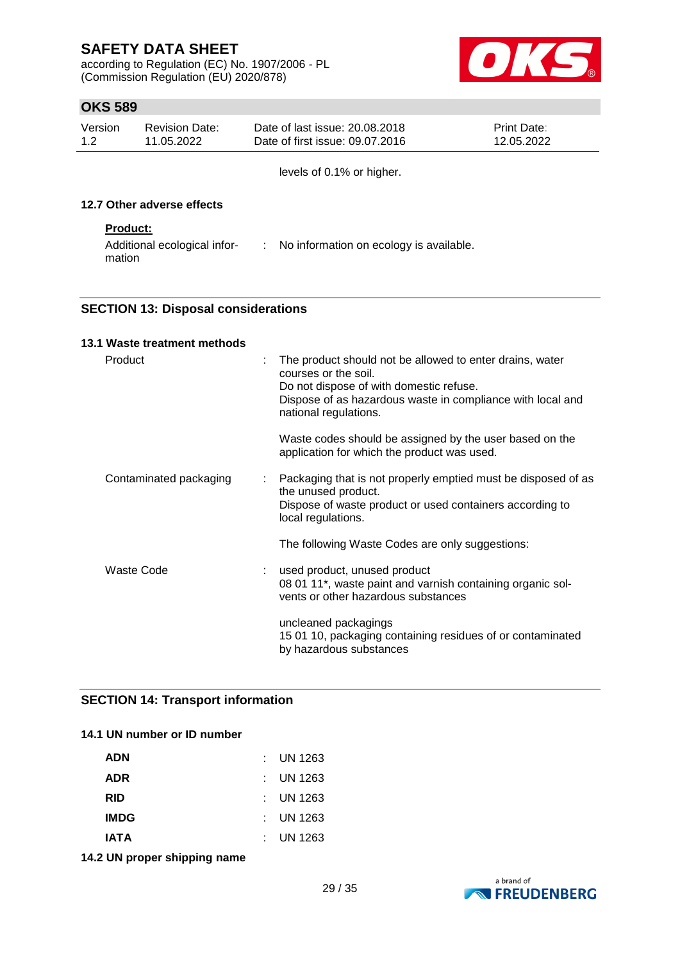according to Regulation (EC) No. 1907/2006 - PL (Commission Regulation (EU) 2020/878)



## **OKS 589**

| Version | <b>Revision Date:</b> | Date of last issue: 20.08.2018  | <b>Print Date:</b> |
|---------|-----------------------|---------------------------------|--------------------|
| 1.2     | 11.05.2022            | Date of first issue: 09.07.2016 | 12.05.2022         |

levels of 0.1% or higher.

#### **12.7 Other adverse effects**

#### **Product:**

| Additional ecological infor- | No information on ecology is available. |
|------------------------------|-----------------------------------------|
| mation                       |                                         |

### **SECTION 13: Disposal considerations**

| 13.1 Waste treatment methods |   |                                                                                                                                                                                                                    |
|------------------------------|---|--------------------------------------------------------------------------------------------------------------------------------------------------------------------------------------------------------------------|
| Product                      |   | The product should not be allowed to enter drains, water<br>courses or the soil.<br>Do not dispose of with domestic refuse.<br>Dispose of as hazardous waste in compliance with local and<br>national regulations. |
|                              |   | Waste codes should be assigned by the user based on the<br>application for which the product was used.                                                                                                             |
| Contaminated packaging       | ÷ | Packaging that is not properly emptied must be disposed of as<br>the unused product.<br>Dispose of waste product or used containers according to<br>local regulations.                                             |
|                              |   | The following Waste Codes are only suggestions:                                                                                                                                                                    |
| Waste Code                   |   | used product, unused product<br>08 01 11*, waste paint and varnish containing organic sol-<br>vents or other hazardous substances                                                                                  |
|                              |   | uncleaned packagings<br>15 01 10, packaging containing residues of or contaminated<br>by hazardous substances                                                                                                      |

### **SECTION 14: Transport information**

#### **14.1 UN number or ID number**

| <b>ADN</b>  | $:$ UN 1263 |
|-------------|-------------|
| <b>ADR</b>  | $:$ UN 1263 |
| <b>RID</b>  | $:$ UN 1263 |
| <b>IMDG</b> | $:$ UN 1263 |
| <b>IATA</b> | : UN 1263   |

**14.2 UN proper shipping name**

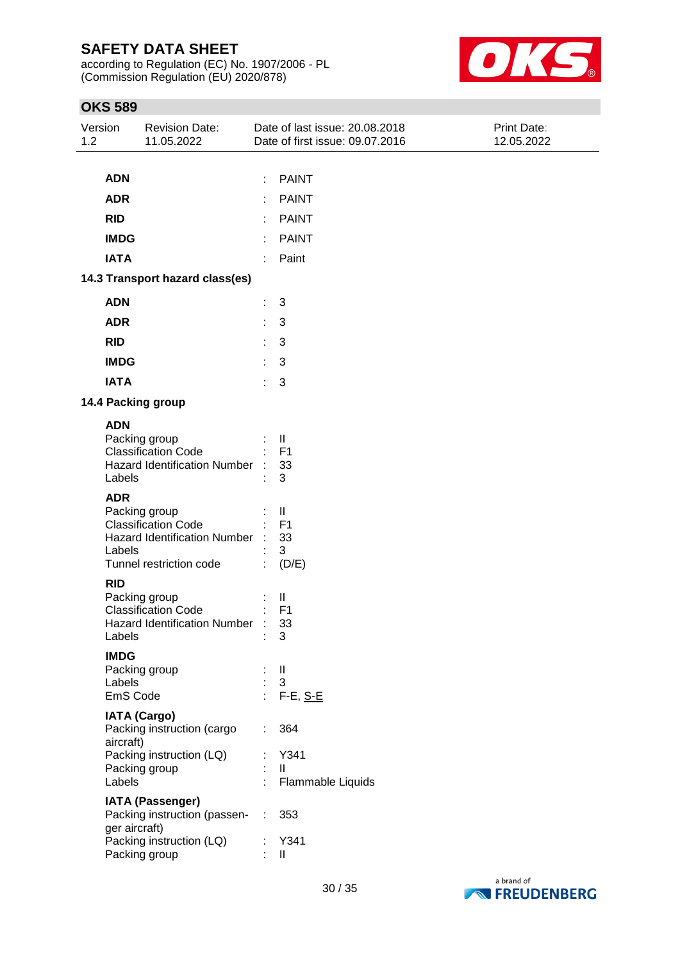according to Regulation (EC) No. 1907/2006 - PL (Commission Regulation (EU) 2020/878)



| Version<br>1.2 |                     | <b>Revision Date:</b><br>11.05.2022                                                                           |    | Date of last issue: 20.08.2018<br>Date of first issue: 09.07.2016 | Print Date:<br>12.05.2022 |
|----------------|---------------------|---------------------------------------------------------------------------------------------------------------|----|-------------------------------------------------------------------|---------------------------|
|                |                     |                                                                                                               |    |                                                                   |                           |
|                | <b>ADN</b>          |                                                                                                               |    | <b>PAINT</b>                                                      |                           |
|                | <b>ADR</b>          |                                                                                                               |    | <b>PAINT</b>                                                      |                           |
|                | <b>RID</b>          |                                                                                                               | ÷. | <b>PAINT</b>                                                      |                           |
|                | <b>IMDG</b>         |                                                                                                               | t. | <b>PAINT</b>                                                      |                           |
|                | <b>IATA</b>         |                                                                                                               | ÷  | Paint                                                             |                           |
|                |                     | 14.3 Transport hazard class(es)                                                                               |    |                                                                   |                           |
|                | <b>ADN</b>          |                                                                                                               | t. | 3                                                                 |                           |
|                | <b>ADR</b>          |                                                                                                               | t. | 3                                                                 |                           |
|                | <b>RID</b>          |                                                                                                               | t. | 3                                                                 |                           |
|                | <b>IMDG</b>         |                                                                                                               | ÷. | 3                                                                 |                           |
|                | <b>IATA</b>         |                                                                                                               | ÷. | 3                                                                 |                           |
|                |                     | 14.4 Packing group                                                                                            |    |                                                                   |                           |
|                | <b>ADN</b>          |                                                                                                               |    |                                                                   |                           |
|                | Labels              | Packing group<br><b>Classification Code</b><br><b>Hazard Identification Number</b>                            |    | Ш<br>F <sub>1</sub><br>33<br>3                                    |                           |
|                | <b>ADR</b>          |                                                                                                               |    |                                                                   |                           |
|                | Labels              | Packing group<br><b>Classification Code</b><br><b>Hazard Identification Number</b><br>Tunnel restriction code |    | Ш<br>F <sub>1</sub><br>33<br>3<br>(D/E)                           |                           |
|                | <b>RID</b>          |                                                                                                               |    |                                                                   |                           |
|                | Labels              | Packing group<br><b>Classification Code</b><br><b>Hazard Identification Number</b>                            | ÷  | Ш<br>F <sub>1</sub><br>33<br>3                                    |                           |
|                | <b>IMDG</b>         |                                                                                                               |    |                                                                   |                           |
|                | Labels              | Packing group                                                                                                 |    | $\mathbf{I}$<br>$\mathbf{3}$                                      |                           |
|                | EmS Code            |                                                                                                               | ÷. | $F-E, S-E$                                                        |                           |
|                | aircraft)<br>Labels | <b>IATA (Cargo)</b><br>Packing instruction (cargo<br>Packing instruction (LQ)<br>Packing group                | t. | 364<br>Y341<br>$\mathbf{II}$<br>Flammable Liquids                 |                           |
|                |                     | <b>IATA (Passenger)</b>                                                                                       |    |                                                                   |                           |
|                | ger aircraft)       | Packing instruction (passen-                                                                                  | ÷  | 353                                                               |                           |
|                |                     | Packing instruction (LQ)<br>Packing group                                                                     |    | Y341<br>$\mathbf{  }$                                             |                           |

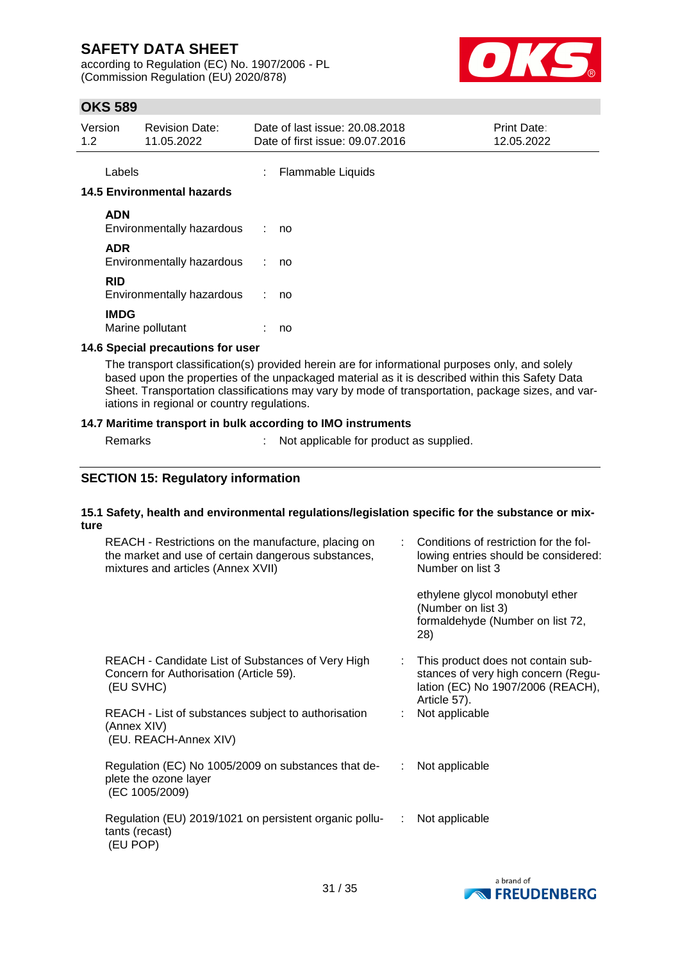according to Regulation (EC) No. 1907/2006 - PL (Commission Regulation (EU) 2020/878)



## **OKS 589**

| Version | <b>Revision Date:</b> | Date of last issue: 20.08.2018  | <b>Print Date:</b> |
|---------|-----------------------|---------------------------------|--------------------|
| 1.2     | 11.05.2022            | Date of first issue: 09.07.2016 | 12.05.2022         |
|         |                       |                                 |                    |

Labels : Flammable Liquids

#### **14.5 Environmental hazards**

| <b>ADN</b><br>Environmentally hazardous | no |
|-----------------------------------------|----|
| ADR<br>Environmentally hazardous        | no |
| <b>RID</b><br>Environmentally hazardous | no |
| <b>IMDG</b><br>Marine pollutant         | no |

### **14.6 Special precautions for user**

The transport classification(s) provided herein are for informational purposes only, and solely based upon the properties of the unpackaged material as it is described within this Safety Data Sheet. Transportation classifications may vary by mode of transportation, package sizes, and variations in regional or country regulations.

#### **14.7 Maritime transport in bulk according to IMO instruments**

Remarks : Not applicable for product as supplied.

## **SECTION 15: Regulatory information**

#### **15.1 Safety, health and environmental regulations/legislation specific for the substance or mixture**

| REACH - Restrictions on the manufacture, placing on<br>the market and use of certain dangerous substances,<br>mixtures and articles (Annex XVII) |    | Conditions of restriction for the fol-<br>lowing entries should be considered:<br>Number on list 3                             |
|--------------------------------------------------------------------------------------------------------------------------------------------------|----|--------------------------------------------------------------------------------------------------------------------------------|
|                                                                                                                                                  |    | ethylene glycol monobutyl ether<br>(Number on list 3)<br>formaldehyde (Number on list 72,<br>28)                               |
| REACH - Candidate List of Substances of Very High<br>Concern for Authorisation (Article 59).<br>(EU SVHC)                                        |    | This product does not contain sub-<br>stances of very high concern (Regu-<br>lation (EC) No 1907/2006 (REACH),<br>Article 57). |
| REACH - List of substances subject to authorisation<br>(Annex XIV)<br>(EU. REACH-Annex XIV)                                                      |    | Not applicable                                                                                                                 |
| Regulation (EC) No 1005/2009 on substances that de-<br>plete the ozone layer<br>(EC 1005/2009)                                                   | ÷. | Not applicable                                                                                                                 |
| Regulation (EU) 2019/1021 on persistent organic pollu-<br>tants (recast)<br>(EU POP)                                                             | ÷. | Not applicable                                                                                                                 |

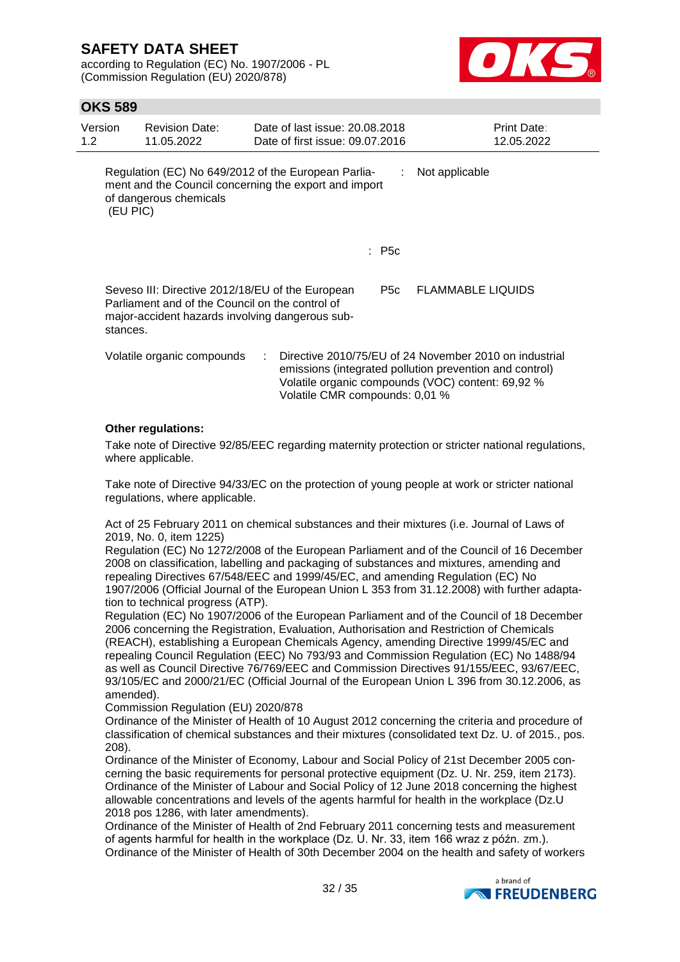according to Regulation (EC) No. 1907/2006 - PL (Commission Regulation (EU) 2020/878)



### **OKS 589**

| Version<br>1.2 | <b>Revision Date:</b><br>11.05.2022             | Date of last issue: 20.08.2018<br>Date of first issue: 09.07.2016                                            |       | <b>Print Date:</b><br>12.05.2022                                                                                                                                       |
|----------------|-------------------------------------------------|--------------------------------------------------------------------------------------------------------------|-------|------------------------------------------------------------------------------------------------------------------------------------------------------------------------|
|                | of dangerous chemicals<br>(EU PIC)              | Regulation (EC) No 649/2012 of the European Parlia-<br>ment and the Council concerning the export and import | ÷.    | Not applicable                                                                                                                                                         |
|                |                                                 |                                                                                                              | : P5c |                                                                                                                                                                        |
| stances.       | Parliament and of the Council on the control of | Seveso III: Directive 2012/18/EU of the European<br>major-accident hazards involving dangerous sub-          | P5c   | <b>FLAMMABLE LIQUIDS</b>                                                                                                                                               |
|                | Volatile organic compounds                      | Volatile CMR compounds: 0,01 %                                                                               |       | Directive 2010/75/EU of 24 November 2010 on industrial<br>emissions (integrated pollution prevention and control)<br>Volatile organic compounds (VOC) content: 69,92 % |

#### **Other regulations:**

Take note of Directive 92/85/EEC regarding maternity protection or stricter national regulations, where applicable.

Take note of Directive 94/33/EC on the protection of young people at work or stricter national regulations, where applicable.

Act of 25 February 2011 on chemical substances and their mixtures (i.e. Journal of Laws of 2019, No. 0, item 1225)

Regulation (EC) No 1272/2008 of the European Parliament and of the Council of 16 December 2008 on classification, labelling and packaging of substances and mixtures, amending and repealing Directives 67/548/EEC and 1999/45/EC, and amending Regulation (EC) No 1907/2006 (Official Journal of the European Union L 353 from 31.12.2008) with further adaptation to technical progress (ATP).

Regulation (EC) No 1907/2006 of the European Parliament and of the Council of 18 December 2006 concerning the Registration, Evaluation, Authorisation and Restriction of Chemicals (REACH), establishing a European Chemicals Agency, amending Directive 1999/45/EC and repealing Council Regulation (EEC) No 793/93 and Commission Regulation (EC) No 1488/94 as well as Council Directive 76/769/EEC and Commission Directives 91/155/EEC, 93/67/EEC, 93/105/EC and 2000/21/EC (Official Journal of the European Union L 396 from 30.12.2006, as amended).

Commission Regulation (EU) 2020/878

Ordinance of the Minister of Health of 10 August 2012 concerning the criteria and procedure of classification of chemical substances and their mixtures (consolidated text Dz. U. of 2015., pos. 208).

Ordinance of the Minister of Economy, Labour and Social Policy of 21st December 2005 concerning the basic requirements for personal protective equipment (Dz. U. Nr. 259, item 2173). Ordinance of the Minister of Labour and Social Policy of 12 June 2018 concerning the highest allowable concentrations and levels of the agents harmful for health in the workplace (Dz.U 2018 pos 1286, with later amendments).

Ordinance of the Minister of Health of 2nd February 2011 concerning tests and measurement of agents harmful for health in the workplace (Dz. U. Nr. 33, item 166 wraz z późn. zm.). Ordinance of the Minister of Health of 30th December 2004 on the health and safety of workers

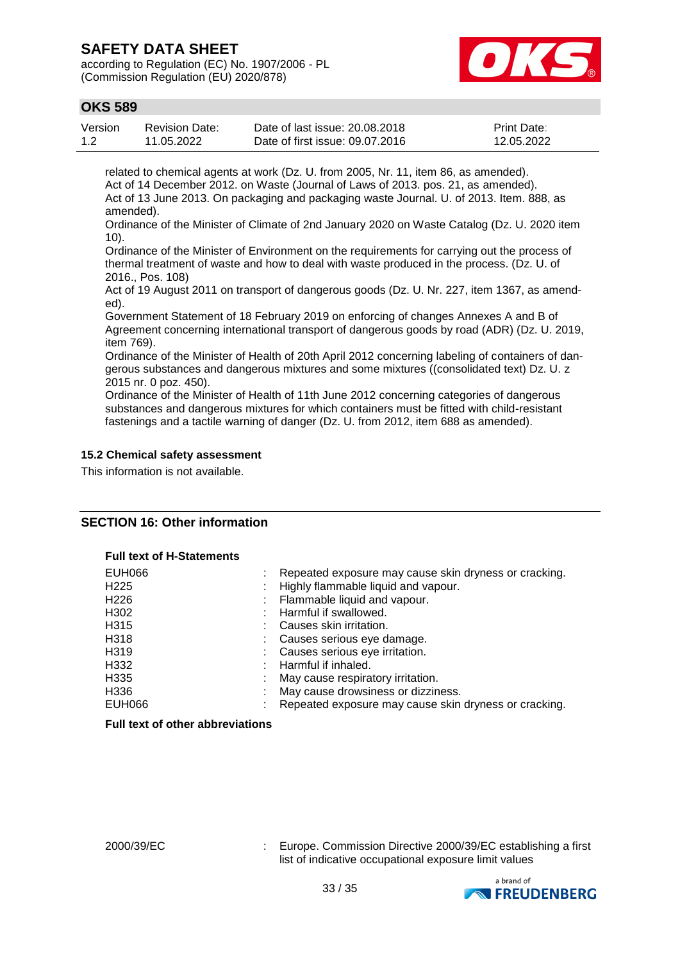according to Regulation (EC) No. 1907/2006 - PL (Commission Regulation (EU) 2020/878)



## **OKS 589**

| Version | Revision Date: | Date of last issue: 20.08.2018  | <b>Print Date:</b> |
|---------|----------------|---------------------------------|--------------------|
| 1.2     | 11.05.2022     | Date of first issue: 09.07.2016 | 12.05.2022         |

related to chemical agents at work (Dz. U. from 2005, Nr. 11, item 86, as amended). Act of 14 December 2012. on Waste (Journal of Laws of 2013. pos. 21, as amended). Act of 13 June 2013. On packaging and packaging waste Journal. U. of 2013. Item. 888, as amended).

Ordinance of the Minister of Climate of 2nd January 2020 on Waste Catalog (Dz. U. 2020 item 10).

Ordinance of the Minister of Environment on the requirements for carrying out the process of thermal treatment of waste and how to deal with waste produced in the process. (Dz. U. of 2016., Pos. 108)

Act of 19 August 2011 on transport of dangerous goods (Dz. U. Nr. 227, item 1367, as amended).

Government Statement of 18 February 2019 on enforcing of changes Annexes A and B of Agreement concerning international transport of dangerous goods by road (ADR) (Dz. U. 2019, item 769).

Ordinance of the Minister of Health of 20th April 2012 concerning labeling of containers of dangerous substances and dangerous mixtures and some mixtures ((consolidated text) Dz. U. z 2015 nr. 0 poz. 450).

Ordinance of the Minister of Health of 11th June 2012 concerning categories of dangerous substances and dangerous mixtures for which containers must be fitted with child-resistant fastenings and a tactile warning of danger (Dz. U. from 2012, item 688 as amended).

#### **15.2 Chemical safety assessment**

This information is not available.

#### **SECTION 16: Other information**

#### **Full text of H-Statements**

| <b>EUH066</b>    | Repeated exposure may cause skin dryness or cracking. |
|------------------|-------------------------------------------------------|
| H <sub>225</sub> | Highly flammable liquid and vapour.                   |
| H <sub>226</sub> | : Flammable liquid and vapour.                        |
| H302             | Harmful if swallowed.                                 |
| H315             | Causes skin irritation.                               |
| H318             | Causes serious eye damage.                            |
| H319             | : Causes serious eye irritation.                      |
| H332             | Harmful if inhaled.                                   |
| H335             | May cause respiratory irritation.                     |
| H336             | May cause drowsiness or dizziness.                    |
| EUH066           | Repeated exposure may cause skin dryness or cracking. |

#### **Full text of other abbreviations**

2000/39/EC : Europe. Commission Directive 2000/39/EC establishing a first list of indicative occupational exposure limit values

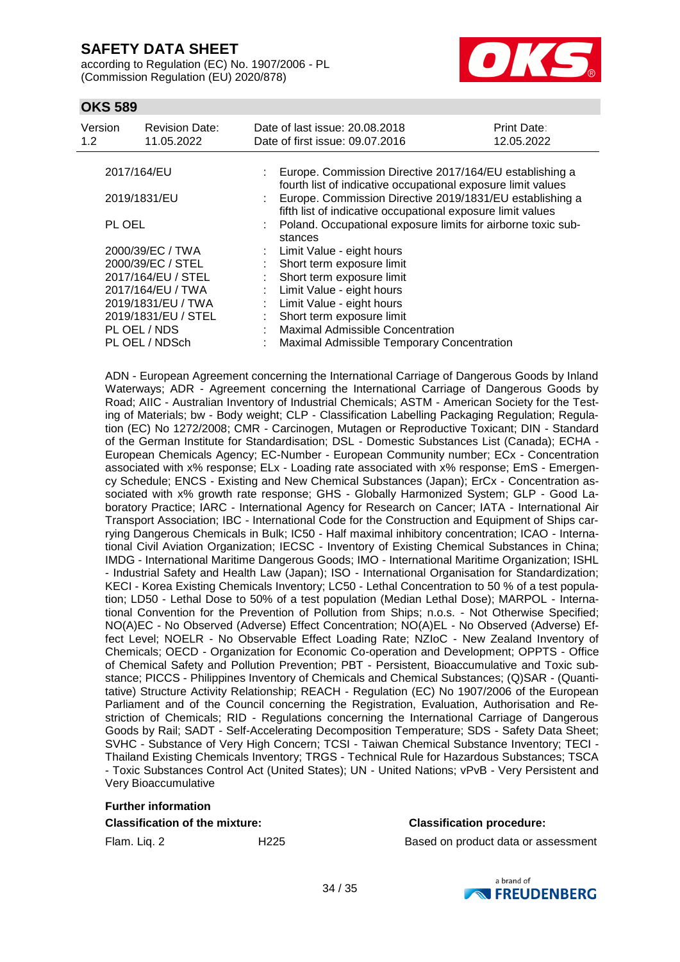according to Regulation (EC) No. 1907/2006 - PL (Commission Regulation (EU) 2020/878)



### **OKS 589**

| Version<br>1.2     | <b>Revision Date:</b><br>11.05.2022 |  | Date of last issue: 20.08.2018<br>Print Date:<br>12.05.2022<br>Date of first issue: 09.07.2016                                           |  |  |  |
|--------------------|-------------------------------------|--|------------------------------------------------------------------------------------------------------------------------------------------|--|--|--|
| 2017/164/EU        |                                     |  | : Europe. Commission Directive 2017/164/EU establishing a<br>fourth list of indicative occupational exposure limit values                |  |  |  |
|                    | 2019/1831/EU                        |  | : Europe. Commission Directive 2019/1831/EU establishing a                                                                               |  |  |  |
| PL OEL             |                                     |  | fifth list of indicative occupational exposure limit values<br>: Poland. Occupational exposure limits for airborne toxic sub-<br>stances |  |  |  |
| 2000/39/EC / TWA   |                                     |  | : Limit Value - eight hours                                                                                                              |  |  |  |
|                    | 2000/39/EC / STEL                   |  | Short term exposure limit                                                                                                                |  |  |  |
| 2017/164/EU / STEL |                                     |  | Short term exposure limit                                                                                                                |  |  |  |
| 2017/164/EU / TWA  |                                     |  | : Limit Value - eight hours                                                                                                              |  |  |  |
| 2019/1831/EU / TWA |                                     |  | : Limit Value - eight hours                                                                                                              |  |  |  |
|                    | 2019/1831/EU / STEL                 |  | Short term exposure limit                                                                                                                |  |  |  |
| PL OEL / NDS       |                                     |  | <b>Maximal Admissible Concentration</b>                                                                                                  |  |  |  |
| PL OEL / NDSch     |                                     |  | Maximal Admissible Temporary Concentration                                                                                               |  |  |  |

ADN - European Agreement concerning the International Carriage of Dangerous Goods by Inland Waterways; ADR - Agreement concerning the International Carriage of Dangerous Goods by Road; AIIC - Australian Inventory of Industrial Chemicals; ASTM - American Society for the Testing of Materials; bw - Body weight; CLP - Classification Labelling Packaging Regulation; Regulation (EC) No 1272/2008; CMR - Carcinogen, Mutagen or Reproductive Toxicant; DIN - Standard of the German Institute for Standardisation; DSL - Domestic Substances List (Canada); ECHA - European Chemicals Agency; EC-Number - European Community number; ECx - Concentration associated with x% response; ELx - Loading rate associated with x% response; EmS - Emergency Schedule; ENCS - Existing and New Chemical Substances (Japan); ErCx - Concentration associated with x% growth rate response; GHS - Globally Harmonized System; GLP - Good Laboratory Practice; IARC - International Agency for Research on Cancer; IATA - International Air Transport Association; IBC - International Code for the Construction and Equipment of Ships carrying Dangerous Chemicals in Bulk; IC50 - Half maximal inhibitory concentration; ICAO - International Civil Aviation Organization; IECSC - Inventory of Existing Chemical Substances in China; IMDG - International Maritime Dangerous Goods; IMO - International Maritime Organization; ISHL - Industrial Safety and Health Law (Japan); ISO - International Organisation for Standardization; KECI - Korea Existing Chemicals Inventory; LC50 - Lethal Concentration to 50 % of a test population; LD50 - Lethal Dose to 50% of a test population (Median Lethal Dose); MARPOL - International Convention for the Prevention of Pollution from Ships; n.o.s. - Not Otherwise Specified; NO(A)EC - No Observed (Adverse) Effect Concentration; NO(A)EL - No Observed (Adverse) Effect Level; NOELR - No Observable Effect Loading Rate; NZIoC - New Zealand Inventory of Chemicals; OECD - Organization for Economic Co-operation and Development; OPPTS - Office of Chemical Safety and Pollution Prevention; PBT - Persistent, Bioaccumulative and Toxic substance; PICCS - Philippines Inventory of Chemicals and Chemical Substances; (Q)SAR - (Quantitative) Structure Activity Relationship; REACH - Regulation (EC) No 1907/2006 of the European Parliament and of the Council concerning the Registration, Evaluation, Authorisation and Restriction of Chemicals; RID - Regulations concerning the International Carriage of Dangerous Goods by Rail; SADT - Self-Accelerating Decomposition Temperature; SDS - Safety Data Sheet; SVHC - Substance of Very High Concern; TCSI - Taiwan Chemical Substance Inventory; TECI - Thailand Existing Chemicals Inventory; TRGS - Technical Rule for Hazardous Substances; TSCA - Toxic Substances Control Act (United States); UN - United Nations; vPvB - Very Persistent and Very Bioaccumulative

#### **Further information**

#### **Classification of the mixture: Classification procedure:**

Flam. Liq. 2 H225 Based on product data or assessment